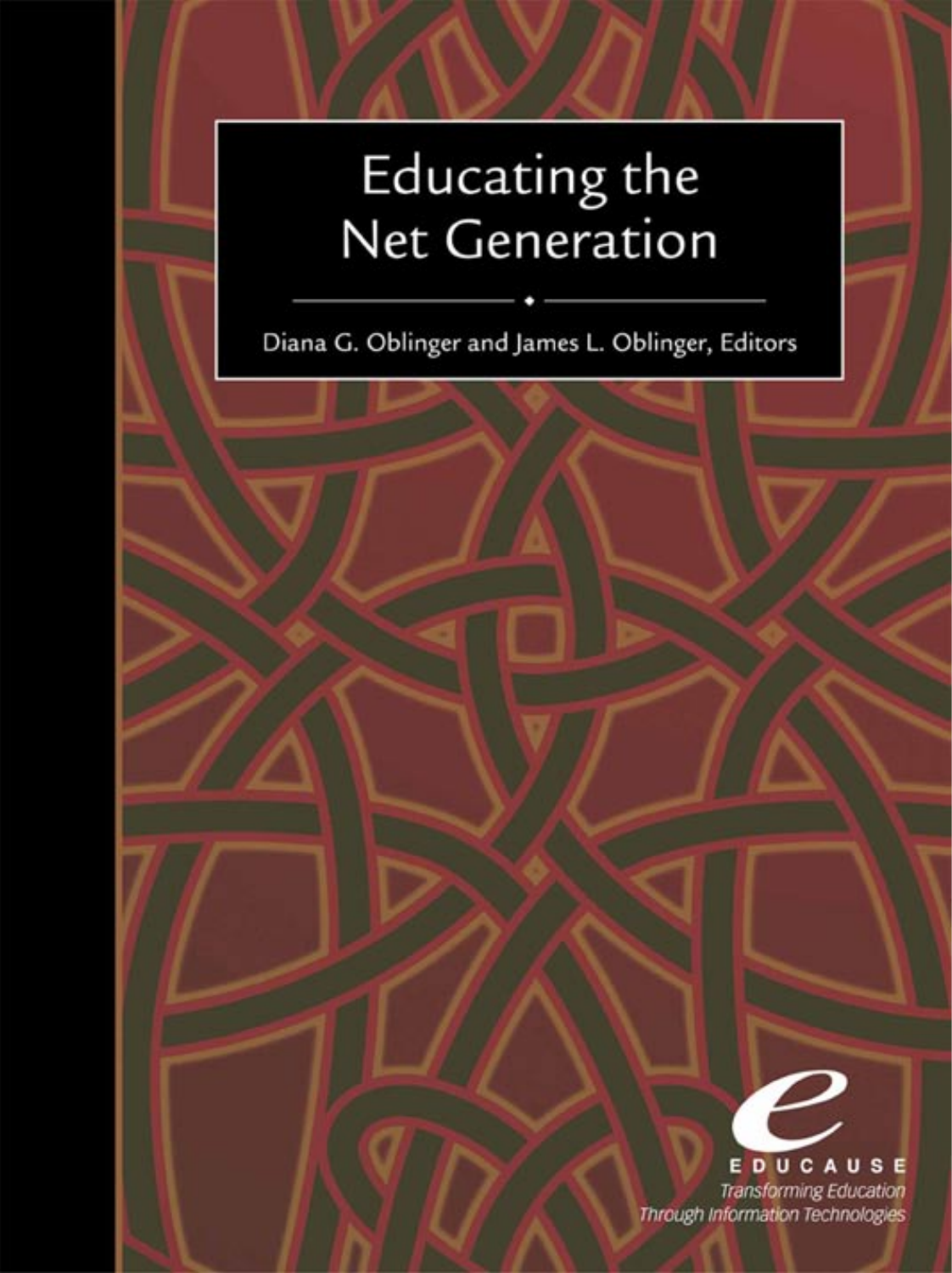# Educating the Net Generation

Diana G. Oblinger and James L. Oblinger, Editors

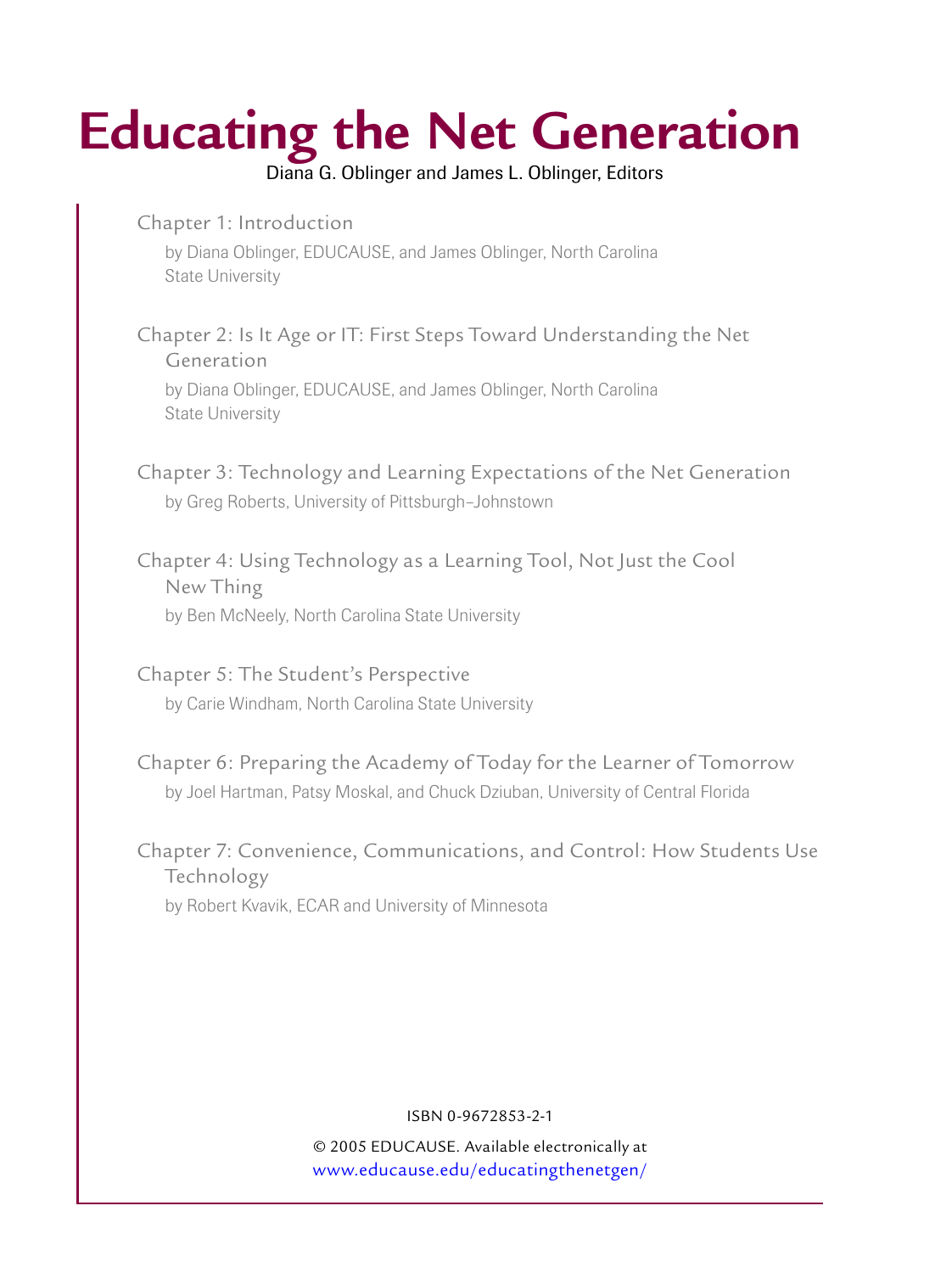# **Educating the Net Generation**

Diana G. Oblinger and James L. Oblinger, Editors

Chapter 1: Introduction

by Diana Oblinger, EDUCAUSE, and James Oblinger, North Carolina State University

Chapter 2: Is It Age or IT: First Steps Toward Understanding the Net Generation

by Diana Oblinger, EDUCAUSE, and James Oblinger, North Carolina State University

Chapter 3: Technology and Learning Expectations of the Net Generation by Greg Roberts, University of Pittsburgh–Johnstown

Chapter 4: Using Technology as a Learning Tool, Not Just the Cool New Thing by Ben McNeely, North Carolina State University

Chapter 5: The Student's Perspective by Carie Windham, North Carolina State University

Chapter 6: Preparing the Academy of Today for the Learner of Tomorrow by Joel Hartman, Patsy Moskal, and Chuck Dziuban, University of Central Florida

Chapter 7: Convenience, Communications, and Control: How Students Use Technology by Robert Kvavik, ECAR and University of Minnesota

ISBN 0-9672853-2-1

© 2005 EDUCAUSE. Available electronically at <www.educause.edu/educatingthenetgen/>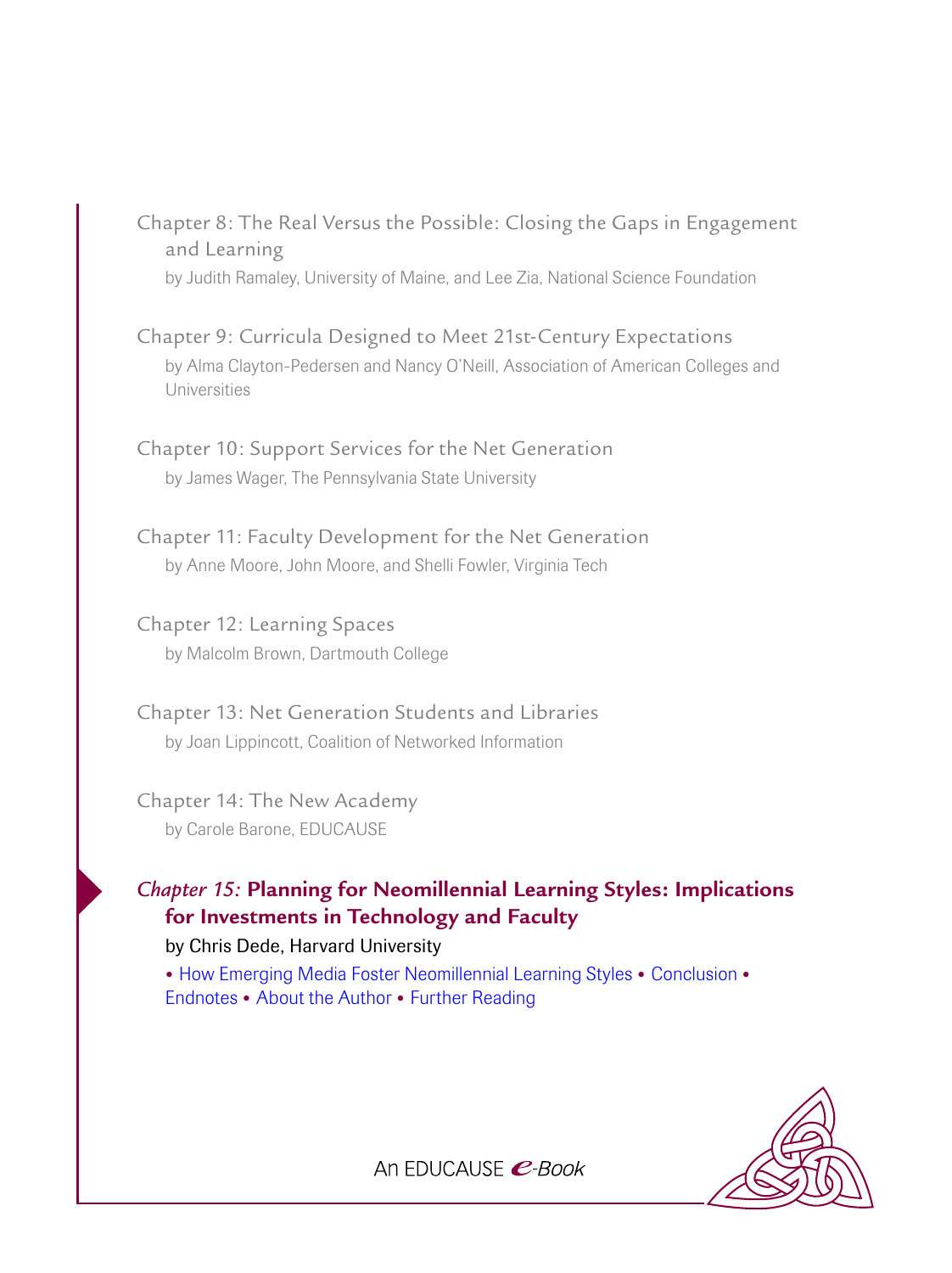Chapter 8: The Real Versus the Possible: Closing the Gaps in Engagement and Learning by Judith Ramaley, University of Maine, and Lee Zia, National Science Foundation

Chapter 9: Curricula Designed to Meet 21st-Century Expectations

by Alma Clayton-Pedersen and Nancy O'Neill, Association of American Colleges and Universities

Chapter 10: Support Services for the Net Generation by James Wager, The Pennsylvania State University

Chapter 11: Faculty Development for the Net Generation by Anne Moore, John Moore, and Shelli Fowler, Virginia Tech

Chapter 12: Learning Spaces by Malcolm Brown, Dartmouth College

Chapter 13: Net Generation Students and Libraries by Joan Lippincott, Coalition of Networked Information

Chapter 14: The New Academy by Carole Barone, EDUCAUSE

### *Chapter 15:* **Planning for Neomillennial Learning Styles: Implications for Investments in Technology and Faculty**

#### by Chris Dede, Harvard University

• [How Emerging Media Foster Neomillennial Learning Styles](#page-3-0) • [Conclusion](#page-21-0) • [Endnotes](#page-21-0) • [About the Author](#page-23-0) • [Further Reading](#page-24-0)



An EDUCAUSE **C-Book**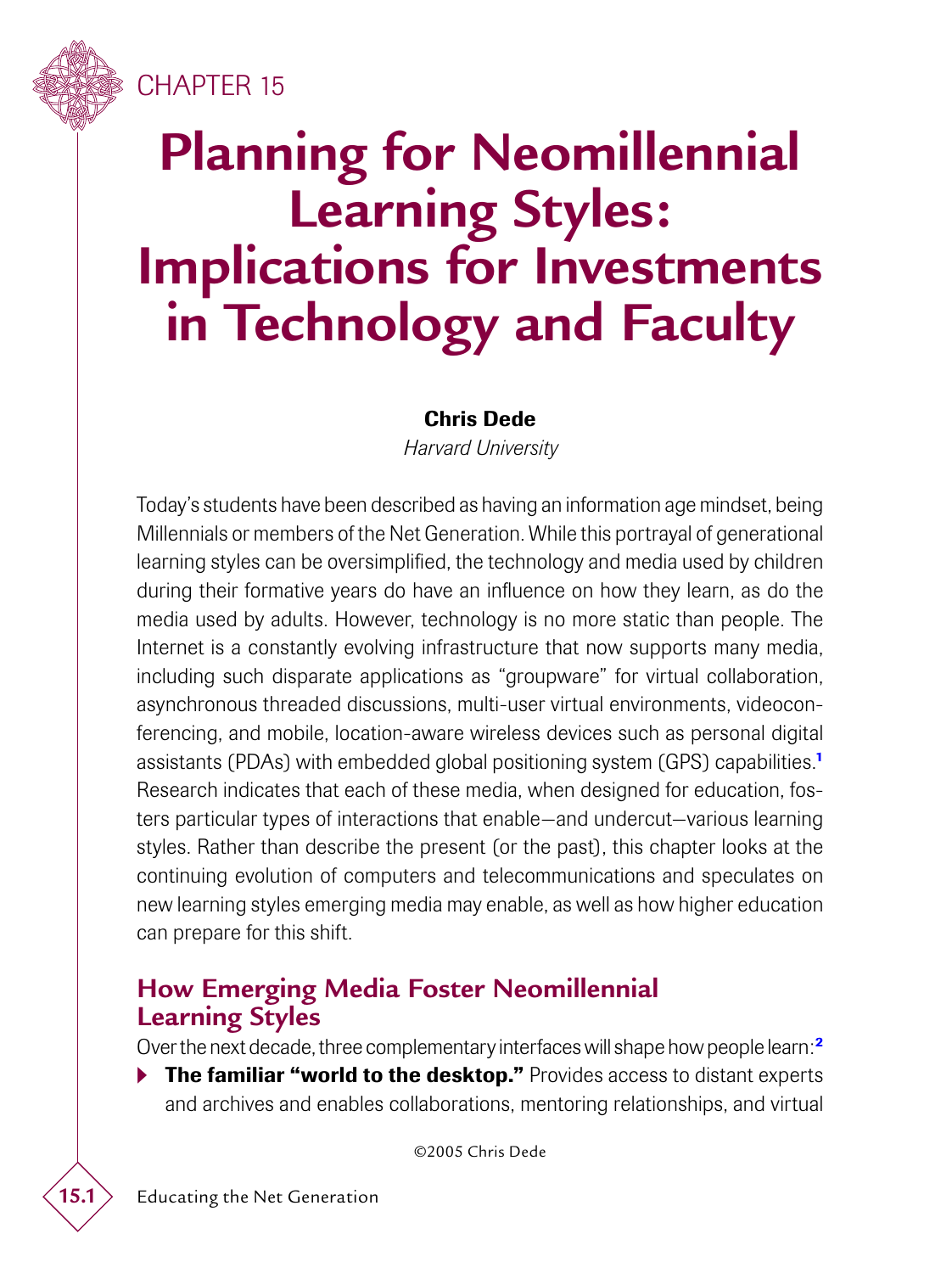<span id="page-3-0"></span>

CHAPTER 15

# **Planning for Neomillennial Learning Styles: Implications for Investments in Technology and Faculty**

#### Chris Dede

*Harvard University*

Today's students have been described as having an information age mindset, being Millennials or members of the Net Generation. While this portrayal of generational learning styles can be oversimplified, the technology and media used by children during their formative years do have an influence on how they learn, as do the media used by adults. However, technology is no more static than people. The Internet is a constantly evolving infrastructure that now supports many media, including such disparate applications as "groupware" for virtual collaboration, asynchronous threaded discussions, multi-user virtual environments, videoconferencing, and mobile, location-aware wireless devices such as personal digital assistants (PDAs) with embedded global positioning system (GPS) capabilities.<sup>[1](#page-21-1)</sup> Research indicates that each of these media, when designed for education, fosters particular types of interactions that enable—and undercut—various learning styles. Rather than describe the present (or the past), this chapter looks at the continuing evolution of computers and telecommunications and speculates on new learning styles emerging media may enable, as well as how higher education can prepare for this shift.

## **How Emerging Media Foster Neomillennial Learning Styles**

Over the next decade, three complementary interfaces will shape how people learn:<sup>[2](http://www.technology.gov/reports/TechPolicy/2020Visions.pdf)</sup>

▶ The familiar "world to the desktop." Provides access to distant experts and archives and enables collaborations, mentoring relationships, and virtual

©2005 Chris Dede

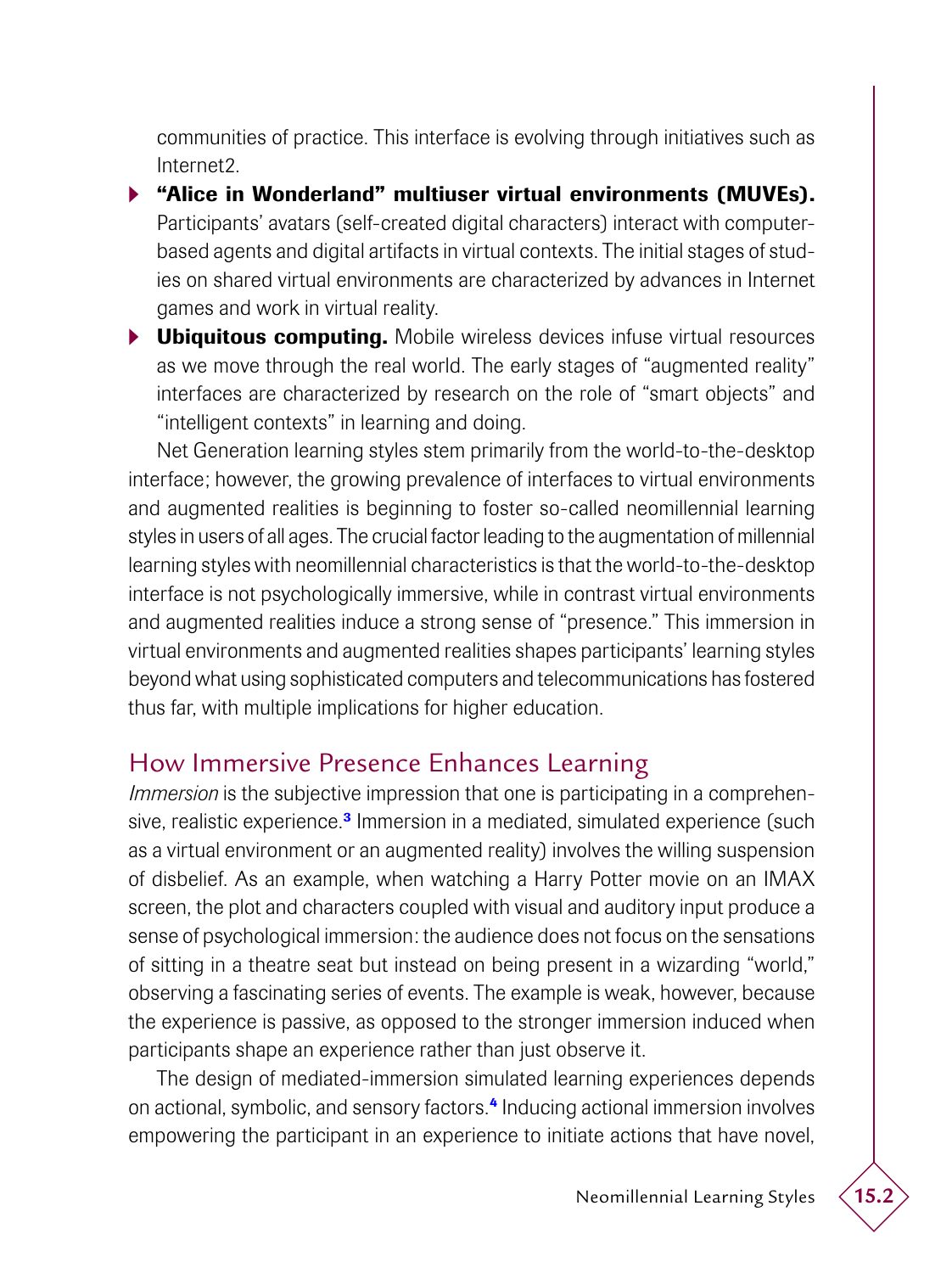<span id="page-4-0"></span>communities of practice. This interface is evolving through initiatives such as Internet2.

- "Alice in Wonderland" multiuser virtual environments (MUVEs). Participants' avatars (self-created digital characters) interact with computerbased agents and digital artifacts in virtual contexts. The initial stages of studies on shared virtual environments are characterized by advances in Internet games and work in virtual reality.
- ▶ Ubiquitous computing. Mobile wireless devices infuse virtual resources as we move through the real world. The early stages of "augmented reality" interfaces are characterized by research on the role of "smart objects" and "intelligent contexts" in learning and doing.

Net Generation learning styles stem primarily from the world-to-the-desktop interface; however, the growing prevalence of interfaces to virtual environments and augmented realities is beginning to foster so-called neomillennial learning styles in users of all ages. The crucial factor leading to the augmentation of millennial learning styles with neomillennial characteristics is that the world-to-the-desktop interface is not psychologically immersive, while in contrast virtual environments and augmented realities induce a strong sense of "presence." This immersion in virtual environments and augmented realities shapes participants' learning styles beyond what using sophisticated computers and telecommunications has fostered thus far, with multiple implications for higher education.

## How Immersive Presence Enhances Learning

*Immersion* is the subjective impression that one is participating in a comprehen-sive, realistic experience.<sup>[3](http://mitpress.mit.edu/journals/PRES/ps00734.pd)</sup> Immersion in a mediated, simulated experience (such as a virtual environment or an augmented reality) involves the willing suspension of disbelief. As an example, when watching a Harry Potter movie on an IMAX screen, the plot and characters coupled with visual and auditory input produce a sense of psychological immersion: the audience does not focus on the sensations of sitting in a theatre seat but instead on being present in a wizarding "world," observing a fascinating series of events. The example is weak, however, because the experience is passive, as opposed to the stronger immersion induced when participants shape an experience rather than just observe it.

The design of mediated-immersion simulated learning experiences depends on actional, symbolic, and sensory factors.[4](#page-21-2) Inducing actional immersion involves empowering the participant in an experience to initiate actions that have novel,

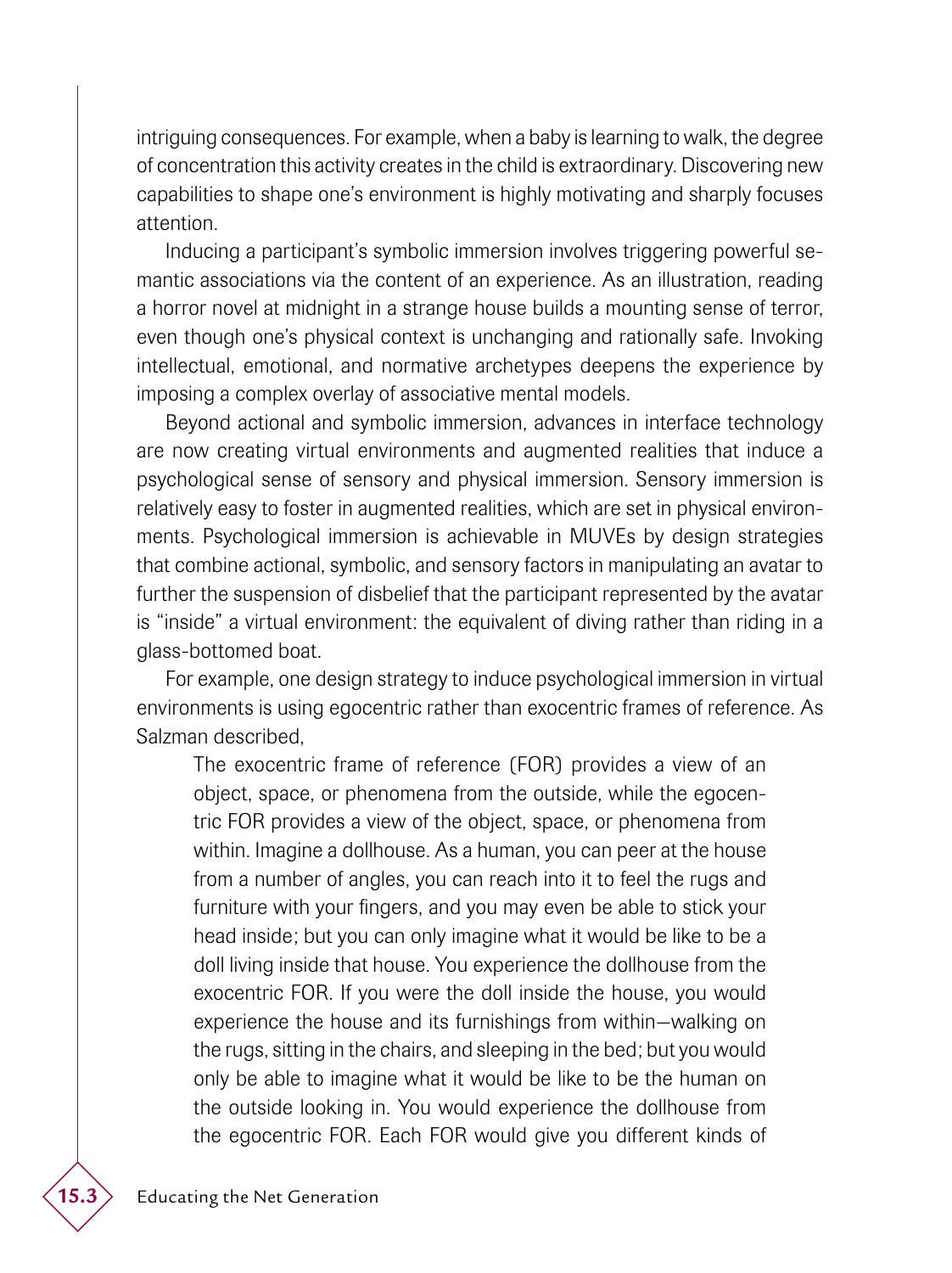intriguing consequences. For example, when a baby is learning to walk, the degree of concentration this activity creates in the child is extraordinary. Discovering new capabilities to shape one's environment is highly motivating and sharply focuses attention.

Inducing a participant's symbolic immersion involves triggering powerful semantic associations via the content of an experience. As an illustration, reading a horror novel at midnight in a strange house builds a mounting sense of terror, even though one's physical context is unchanging and rationally safe. Invoking intellectual, emotional, and normative archetypes deepens the experience by imposing a complex overlay of associative mental models.

Beyond actional and symbolic immersion, advances in interface technology are now creating virtual environments and augmented realities that induce a psychological sense of sensory and physical immersion. Sensory immersion is relatively easy to foster in augmented realities, which are set in physical environments. Psychological immersion is achievable in MUVEs by design strategies that combine actional, symbolic, and sensory factors in manipulating an avatar to further the suspension of disbelief that the participant represented by the avatar is "inside" a virtual environment: the equivalent of diving rather than riding in a glass-bottomed boat.

For example, one design strategy to induce psychological immersion in virtual environments is using egocentric rather than exocentric frames of reference. As Salzman described,

The exocentric frame of reference (FOR) provides a view of an object, space, or phenomena from the outside, while the egocentric FOR provides a view of the object, space, or phenomena from within. Imagine a dollhouse. As a human, you can peer at the house from a number of angles, you can reach into it to feel the rugs and furniture with your fingers, and you may even be able to stick your head inside; but you can only imagine what it would be like to be a doll living inside that house. You experience the dollhouse from the exocentric FOR. If you were the doll inside the house, you would experience the house and its furnishings from within—walking on the rugs, sitting in the chairs, and sleeping in the bed; but you would only be able to imagine what it would be like to be the human on the outside looking in. You would experience the dollhouse from the egocentric FOR. Each FOR would give you different kinds of

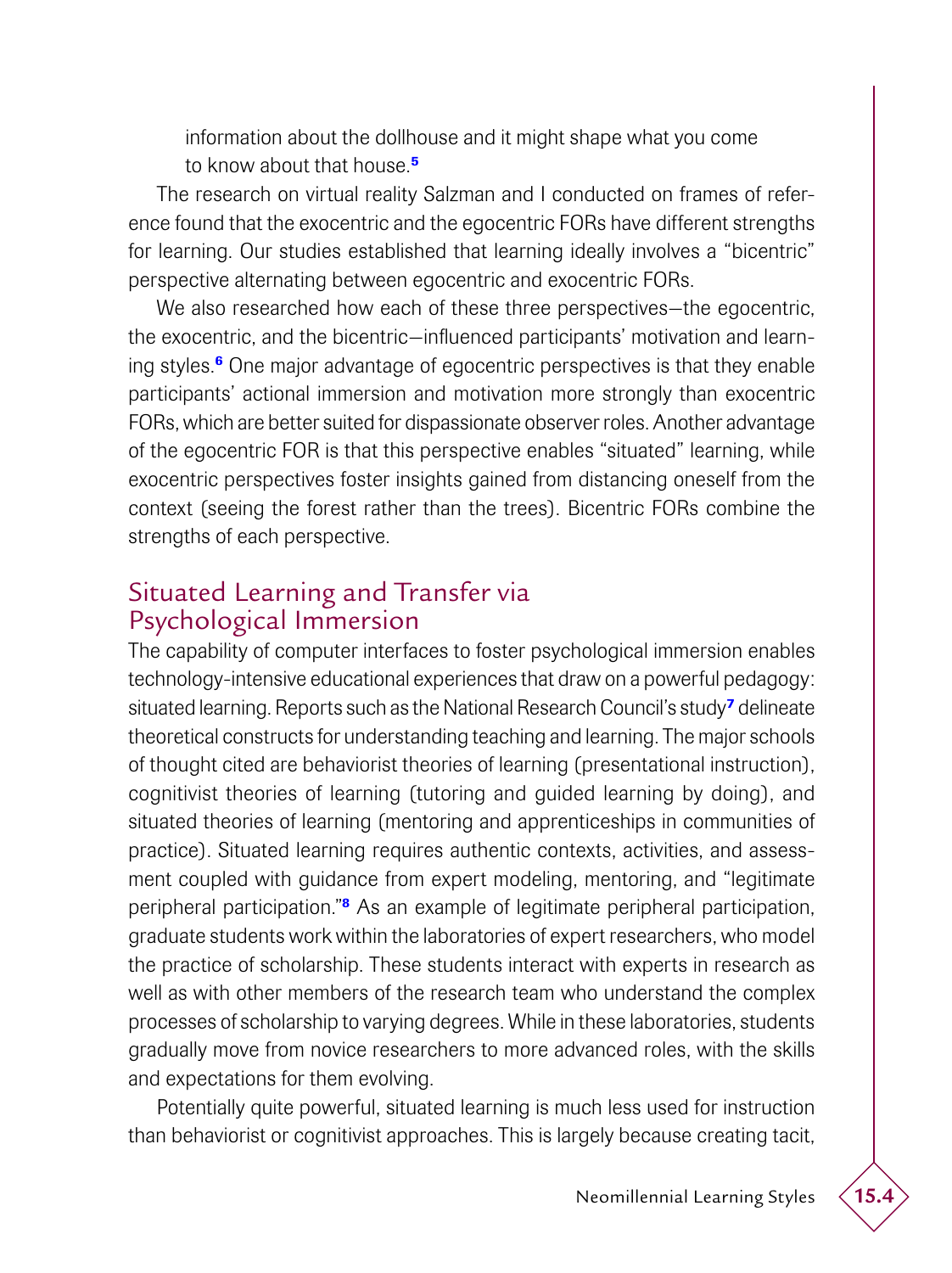information about the dollhouse and it might shape what you come to know about that house  $5$ 

<span id="page-6-0"></span>The research on virtual reality Salzman and I conducted on frames of reference found that the exocentric and the egocentric FORs have different strengths for learning. Our studies established that learning ideally involves a "bicentric" perspective alternating between egocentric and exocentric FORs.

We also researched how each of these three perspectives—the egocentric, the exocentric, and the bicentric—influenced participants' motivation and learn-ing styles.<sup>[6](http://portal.acm.org/toc.cfm?id=302979&type=proceeding)</sup> One major advantage of egocentric perspectives is that they enable participants' actional immersion and motivation more strongly than exocentric FORs, which are better suited for dispassionate observer roles. Another advantage of the egocentric FOR is that this perspective enables "situated" learning, while exocentric perspectives foster insights gained from distancing oneself from the context (seeing the forest rather than the trees). Bicentric FORs combine the strengths of each perspective.

## Situated Learning and Transfer via Psychological Immersion

The capability of computer interfaces to foster psychological immersion enables technology-intensive educational experiences that draw on a powerful pedagogy: situated learning. Reports such as the National Research Council's study<sup>[7](http://www.nap.edu/catalog/9853.html)</sup> delineate theoretical constructs for understanding teaching and learning. The major schools of thought cited are behaviorist theories of learning (presentational instruction), cognitivist theories of learning (tutoring and guided learning by doing), and situated theories of learning (mentoring and apprenticeships in communities of practice). Situated learning requires authentic contexts, activities, and assessment coupled with guidance from expert modeling, mentoring, and "legitimate peripheral participation."[8](http://www.gseis.ucla.edu/~icls/ICLSshortproceed.pdf) As an example of legitimate peripheral participation, graduate students work within the laboratories of expert researchers, who model the practice of scholarship. These students interact with experts in research as well as with other members of the research team who understand the complex processes of scholarship to varying degrees. While in these laboratories, students gradually move from novice researchers to more advanced roles, with the skills and expectations for them evolving.

Potentially quite powerful, situated learning is much less used for instruction than behaviorist or cognitivist approaches. This is largely because creating tacit,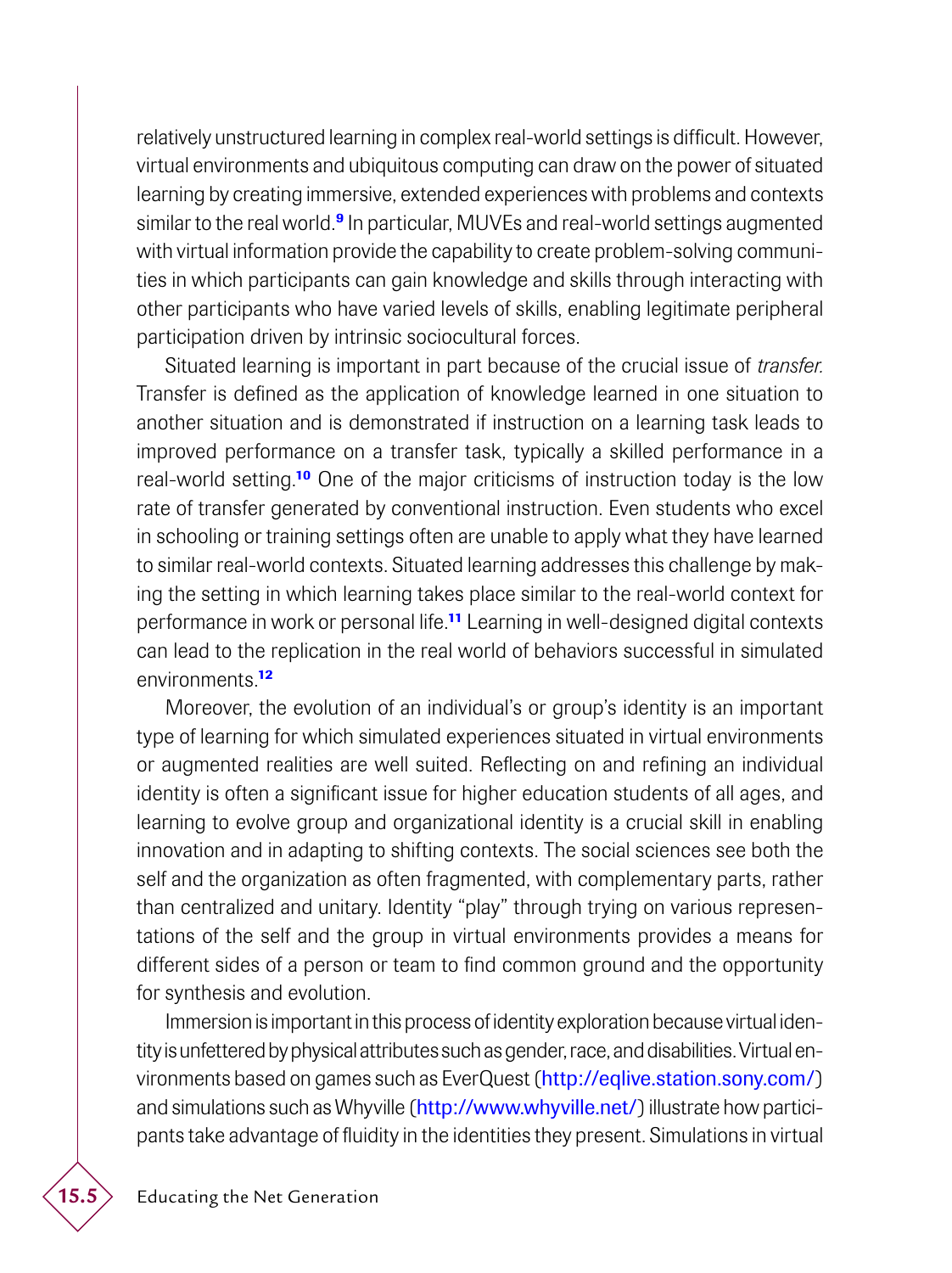<span id="page-7-0"></span>relatively unstructured learning in complex real-world settings is difficult. However, virtual environments and ubiquitous computing can draw on the power of situated learning by creating immersive, extended experiences with problems and contexts similar to the real world.<sup>[9](#page-22-1)</sup> In particular, MUVEs and real-world settings augmented with virtual information provide the capability to create problem-solving communities in which participants can gain knowledge and skills through interacting with other participants who have varied levels of skills, enabling legitimate peripheral participation driven by intrinsic sociocultural forces.

Situated learning is important in part because of the crucial issue of *transfer.*  Transfer is defined as the application of knowledge learned in one situation to another situation and is demonstrated if instruction on a learning task leads to improved performance on a transfer task, typically a skilled performance in a real-world setting.<sup>[10](ttp://www.nsf.gov/pubs/2003/nsf03212/start.htm)</sup> One of the major criticisms of instruction today is the low rate of transfer generated by conventional instruction. Even students who excel in schooling or training settings often are unable to apply what they have learned to similar real-world contexts. Situated learning addresses this challenge by making the setting in which learning takes place similar to the real-world context for performance in work or personal life.[11](#page-22-2) Learning in well-designed digital contexts can lead to the replication in the real world of behaviors successful in simulated environments<sup>[12](#page-22-3)</sup>

Moreover, the evolution of an individual's or group's identity is an important type of learning for which simulated experiences situated in virtual environments or augmented realities are well suited. Reflecting on and refining an individual identity is often a significant issue for higher education students of all ages, and learning to evolve group and organizational identity is a crucial skill in enabling innovation and in adapting to shifting contexts. The social sciences see both the self and the organization as often fragmented, with complementary parts, rather than centralized and unitary. Identity "play" through trying on various representations of the self and the group in virtual environments provides a means for different sides of a person or team to find common ground and the opportunity for synthesis and evolution.

Immersion is important in this process of identity exploration because virtual identity is unfettered by physical attributes such as gender, race, and disabilities. Virtual environments based on games such as EverQuest (<http://eqlive.station.sony.com/>) and simulations such as Whyville (<http://www.whyville.net/>) illustrate how participants take advantage of fluidity in the identities they present. Simulations in virtual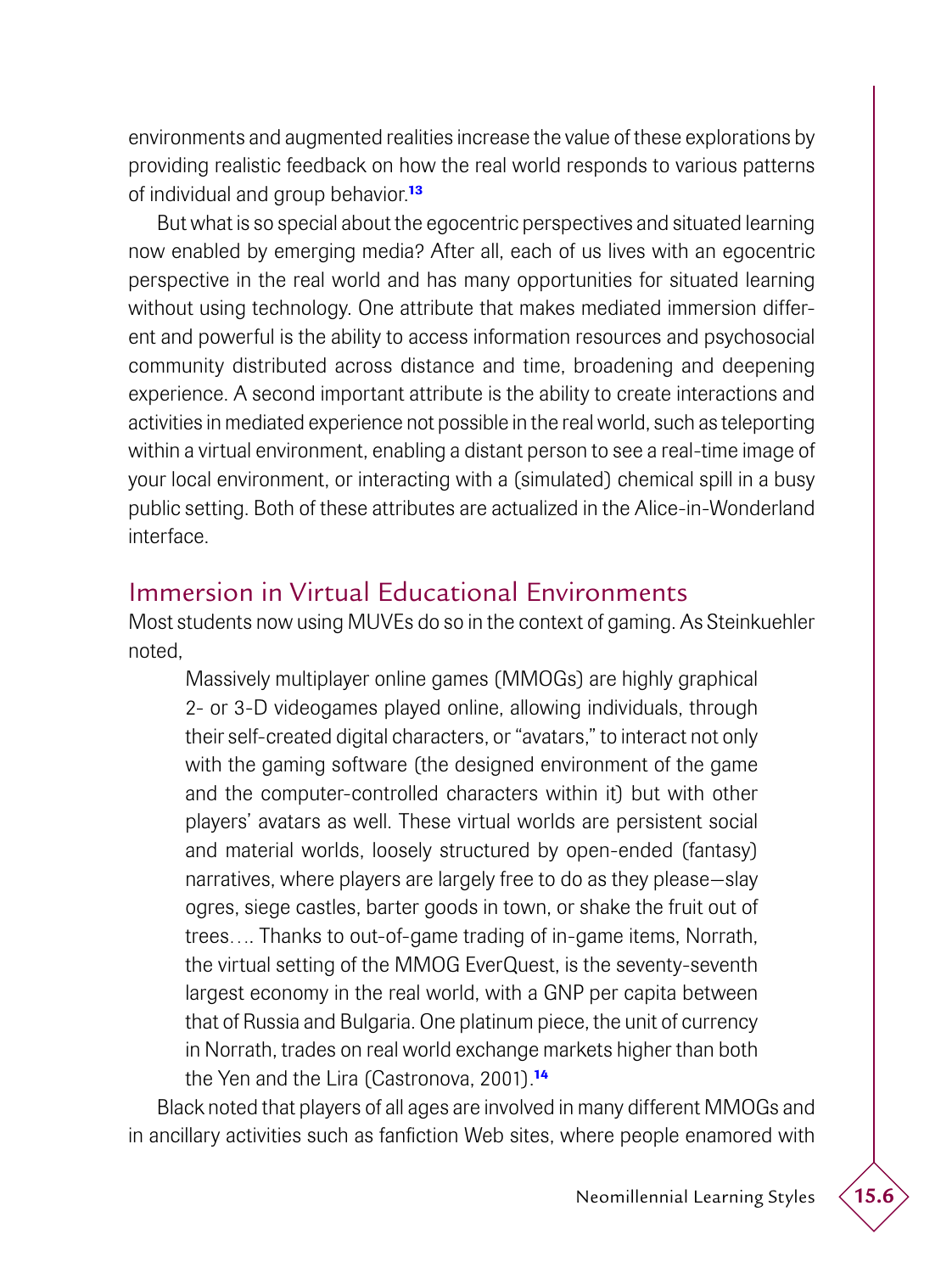<span id="page-8-0"></span>environments and augmented realities increase the value of these explorations by providing realistic feedback on how the real world responds to various patterns of individual and group behavior.<sup>[13](#page-22-4)</sup>

But what is so special about the egocentric perspectives and situated learning now enabled by emerging media? After all, each of us lives with an egocentric perspective in the real world and has many opportunities for situated learning without using technology. One attribute that makes mediated immersion different and powerful is the ability to access information resources and psychosocial community distributed across distance and time, broadening and deepening experience. A second important attribute is the ability to create interactions and activities in mediated experience not possible in the real world, such as teleporting within a virtual environment, enabling a distant person to see a real-time image of your local environment, or interacting with a (simulated) chemical spill in a busy public setting. Both of these attributes are actualized in the Alice-in-Wonderland interface.

### Immersion in Virtual Educational Environments

Most students now using MUVEs do so in the context of gaming. As Steinkuehler noted,

Massively multiplayer online games (MMOGs) are highly graphical 2- or 3-D videogames played online, allowing individuals, through their self-created digital characters, or "avatars," to interact not only with the gaming software (the designed environment of the game and the computer-controlled characters within it) but with other players' avatars as well. These virtual worlds are persistent social and material worlds, loosely structured by open-ended (fantasy) narratives, where players are largely free to do as they please—slay ogres, siege castles, barter goods in town, or shake the fruit out of trees…. Thanks to out-of-game trading of in-game items, Norrath, the virtual setting of the MMOG EverQuest, is the seventy-seventh largest economy in the real world, with a GNP per capita between that of Russia and Bulgaria. One platinum piece, the unit of currency in Norrath, trades on real world exchange markets higher than both the Yen and the Lira (Castronova, 2001).<sup>[14](http://www.gseis.ucla.edu/~icls/ICLSshortproceed.pdf)</sup>

Black noted that players of all ages are involved in many different MMOGs and in ancillary activities such as fanfiction Web sites, where people enamored with

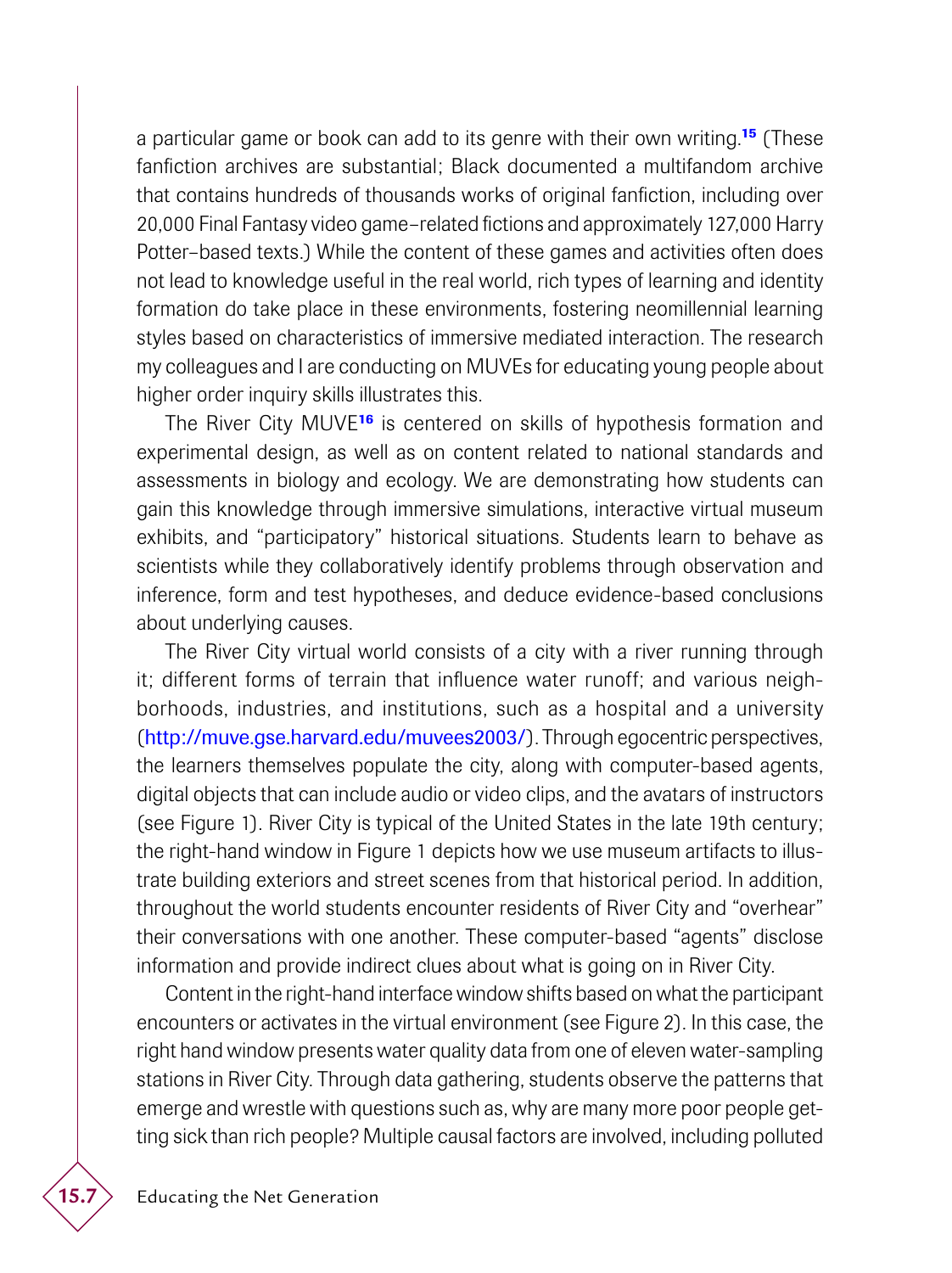<span id="page-9-0"></span>a particular game or book can add to its genre with their own writing.<sup>[15](http://labweb.education.wisc.edu/room130/PDFs/InRevision.pdf)</sup> (These fanfiction archives are substantial; Black documented a multifandom archive that contains hundreds of thousands works of original fanfiction, including over 20,000 Final Fantasy video game–related fictions and approximately 127,000 Harry Potter–based texts.) While the content of these games and activities often does not lead to knowledge useful in the real world, rich types of learning and identity formation do take place in these environments, fostering neomillennial learning styles based on characteristics of immersive mediated interaction. The research my colleagues and I are conducting on MUVEs for educating young people about higher order inquiry skills illustrates this.

The River City MUVE<sup>[16](http://muve.gse.harvard.edu/muvees2003/index.html)</sup> is centered on skills of hypothesis formation and experimental design, as well as on content related to national standards and assessments in biology and ecology. We are demonstrating how students can gain this knowledge through immersive simulations, interactive virtual museum exhibits, and "participatory" historical situations. Students learn to behave as scientists while they collaboratively identify problems through observation and inference, form and test hypotheses, and deduce evidence-based conclusions about underlying causes.

The River City virtual world consists of a city with a river running through it; different forms of terrain that influence water runoff; and various neighborhoods, industries, and institutions, such as a hospital and a university (<http://muve.gse.harvard.edu/muvees2003/>). Through egocentric perspectives, the learners themselves populate the city, along with computer-based agents, digital objects that can include audio or video clips, and the avatars of instructors (see Figure 1). River City is typical of the United States in the late 19th century; the right-hand window in Figure 1 depicts how we use museum artifacts to illustrate building exteriors and street scenes from that historical period. In addition, throughout the world students encounter residents of River City and "overhear" their conversations with one another. These computer-based "agents" disclose information and provide indirect clues about what is going on in River City.

Content in the right-hand interface window shifts based on what the participant encounters or activates in the virtual environment (see Figure 2). In this case, the right hand window presents water quality data from one of eleven water-sampling stations in River City. Through data gathering, students observe the patterns that emerge and wrestle with questions such as, why are many more poor people getting sick than rich people? Multiple causal factors are involved, including polluted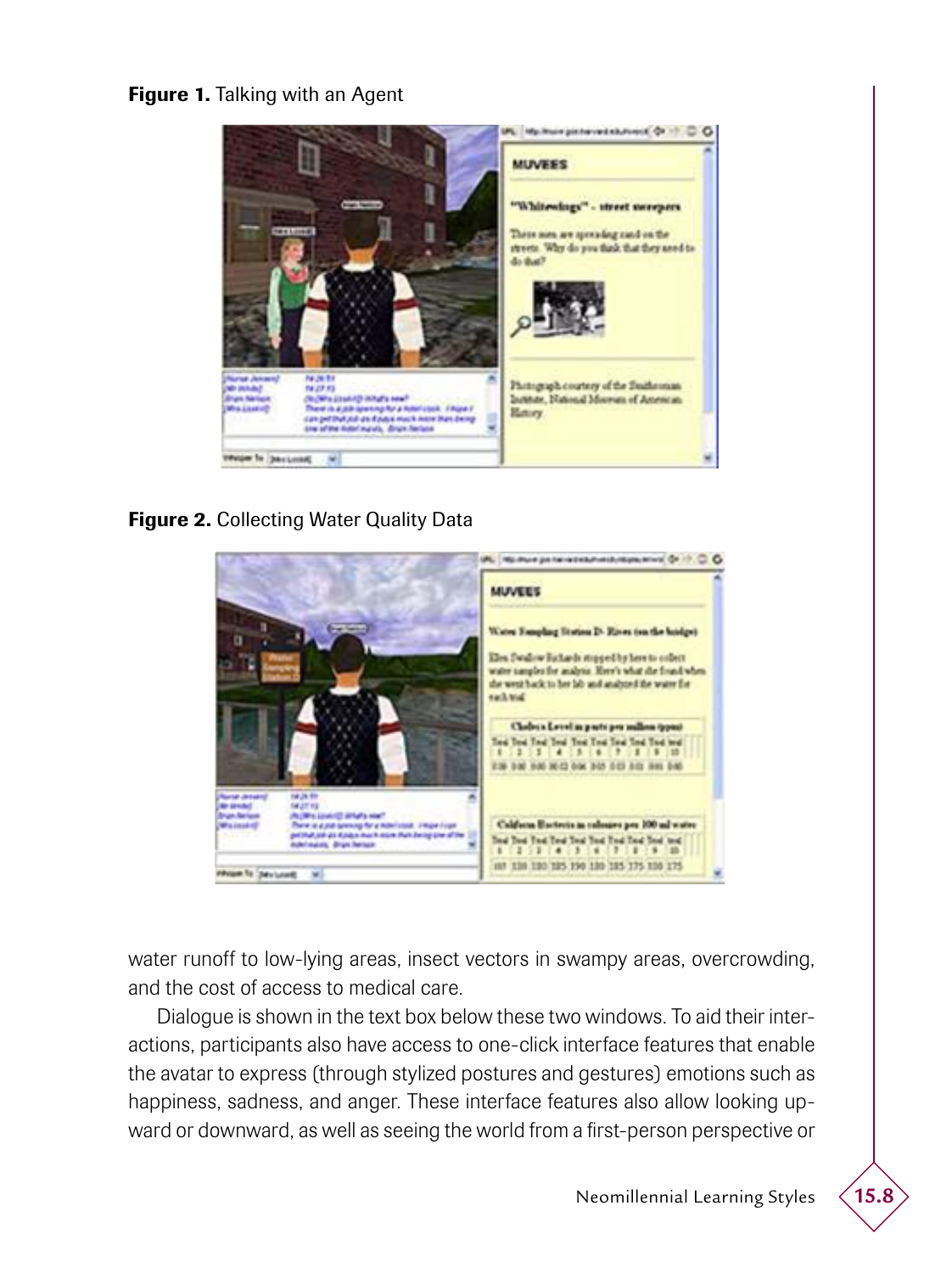#### **Figure 1.** Talking with an Agent



**Figure 2.** Collecting Water Quality Data



water runoff to low-lying areas, insect vectors in swampy areas, overcrowding, and the cost of access to medical care.

Dialogue is shown in the text box below these two windows. To aid their interactions, participants also have access to one-click interface features that enable the avatar to express (through stylized postures and gestures) emotions such as happiness, sadness, and anger. These interface features also allow looking upward or downward, as well as seeing the world from a first-person perspective or

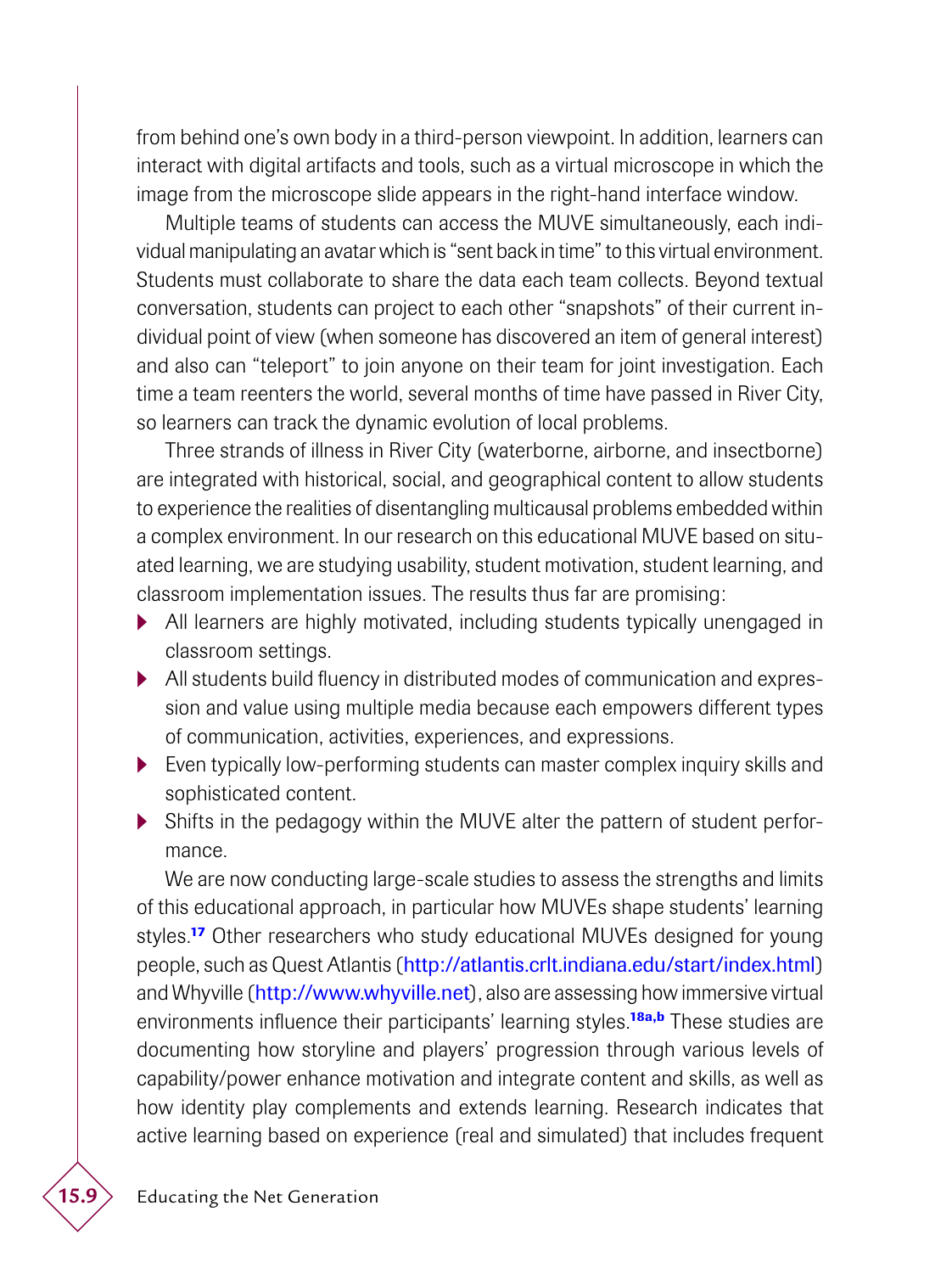<span id="page-11-0"></span>from behind one's own body in a third-person viewpoint. In addition, learners can interact with digital artifacts and tools, such as a virtual microscope in which the image from the microscope slide appears in the right-hand interface window.

Multiple teams of students can access the MUVE simultaneously, each individual manipulating an avatar which is "sent back in time" to this virtual environment. Students must collaborate to share the data each team collects. Beyond textual conversation, students can project to each other "snapshots" of their current individual point of view (when someone has discovered an item of general interest) and also can "teleport" to join anyone on their team for joint investigation. Each time a team reenters the world, several months of time have passed in River City, so learners can track the dynamic evolution of local problems.

Three strands of illness in River City (waterborne, airborne, and insectborne) are integrated with historical, social, and geographical content to allow students to experience the realities of disentangling multicausal problems embedded within a complex environment. In our research on this educational MUVE based on situated learning, we are studying usability, student motivation, student learning, and classroom implementation issues. The results thus far are promising:

- All learners are highly motivated, including students typically unengaged in classroom settings.
- All students build fluency in distributed modes of communication and expression and value using multiple media because each empowers different types of communication, activities, experiences, and expressions.
- Even typically low-performing students can master complex inquiry skills and sophisticated content.
- Shifts in the pedagogy within the MUVE alter the pattern of student performance.

We are now conducting large-scale studies to assess the strengths and limits of this educational approach, in particular how MUVEs shape students' learning styles.<sup>[17](http://www.gseis.ucla.edu/~icls/ICLSshortproceed.pdf)</sup> Other researchers who study educational MUVEs designed for young people, such as Quest Atlantis (<http://atlantis.crlt.indiana.edu/start/index.html>) and Whyville (<http://www.whyville.net>), also are assessing how immersive virtual environments influence their participants' learning styles.<sup>[18a,b](#page-23-1)</sup> These studies are documenting how storyline and players' progression through various levels of capability/power enhance motivation and integrate content and skills, as well as how identity play complements and extends learning. Research indicates that active learning based on experience (real and simulated) that includes frequent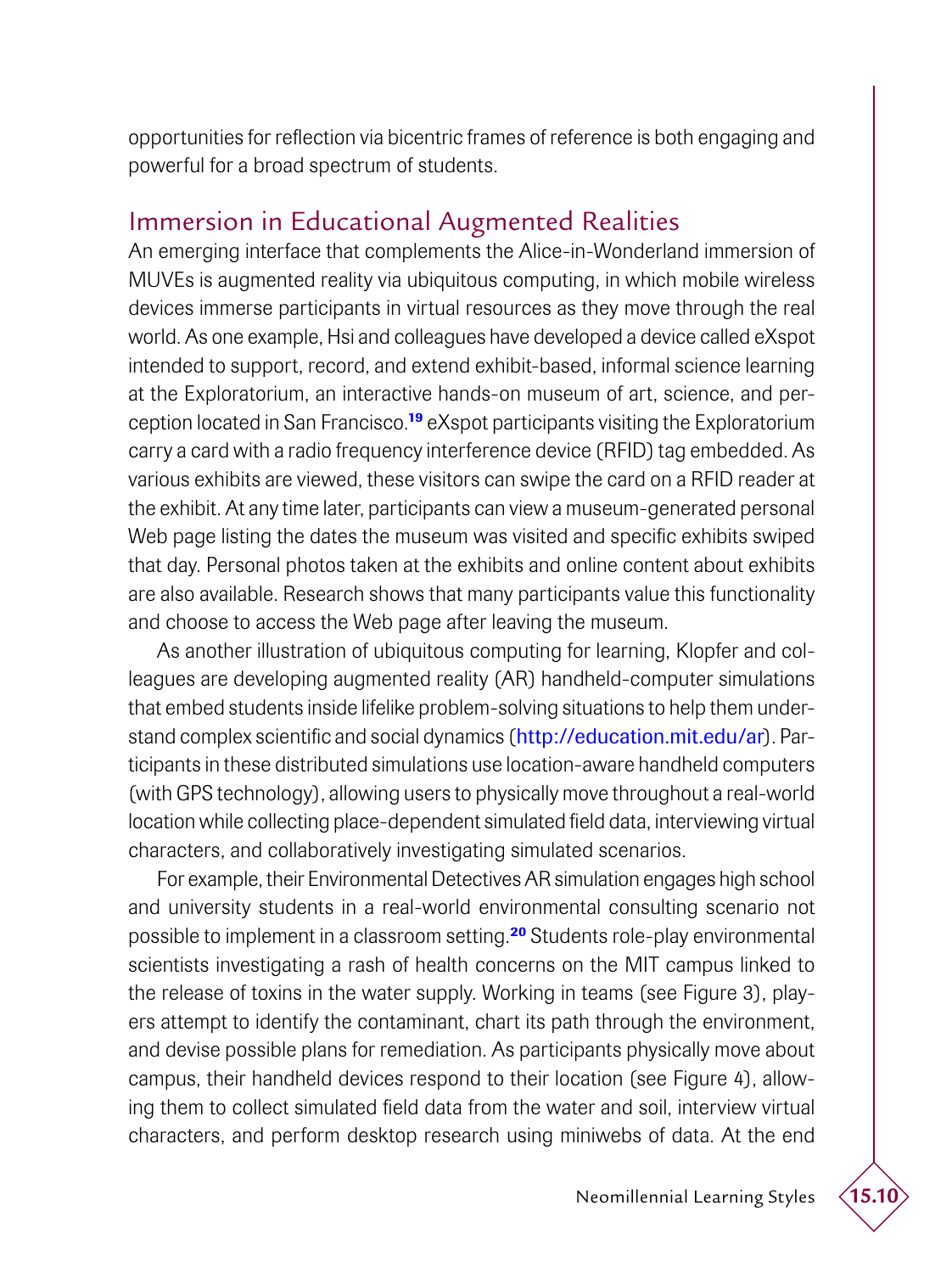<span id="page-12-0"></span>opportunities for reflection via bicentric frames of reference is both engaging and powerful for a broad spectrum of students.

## Immersion in Educational Augmented Realities

An emerging interface that complements the Alice-in-Wonderland immersion of MUVEs is augmented reality via ubiquitous computing, in which mobile wireless devices immerse participants in virtual resources as they move through the real world. As one example, Hsi and colleagues have developed a device called eXspot intended to support, record, and extend exhibit-based, informal science learning at the Exploratorium, an interactive hands-on museum of art, science, and per-ception located in San Francisco.<sup>[19](#page-23-2)</sup> eXspot participants visiting the Exploratorium carry a card with a radio frequency interference device (RFID) tag embedded. As various exhibits are viewed, these visitors can swipe the card on a RFID reader at the exhibit. At any time later, participants can view a museum-generated personal Web page listing the dates the museum was visited and specific exhibits swiped that day. Personal photos taken at the exhibits and online content about exhibits are also available. Research shows that many participants value this functionality and choose to access the Web page after leaving the museum.

As another illustration of ubiquitous computing for learning, Klopfer and colleagues are developing augmented reality (AR) handheld-computer simulations that embed students inside lifelike problem-solving situations to help them understand complex scientific and social dynamics (<http://education.mit.edu/ar>). Participants in these distributed simulations use location-aware handheld computers (with GPS technology), allowing users to physically move throughout a real-world location while collecting place-dependent simulated field data, interviewing virtual characters, and collaboratively investigating simulated scenarios.

For example, their Environmental Detectives AR simulation engages high school and university students in a real-world environmental consulting scenario not possible to implement in a classroom setting.<sup>[20](#page-23-3)</sup> Students role-play environmental scientists investigating a rash of health concerns on the MIT campus linked to the release of toxins in the water supply. Working in teams (see Figure 3), players attempt to identify the contaminant, chart its path through the environment, and devise possible plans for remediation. As participants physically move about campus, their handheld devices respond to their location (see Figure 4), allowing them to collect simulated field data from the water and soil, interview virtual characters, and perform desktop research using miniwebs of data. At the end



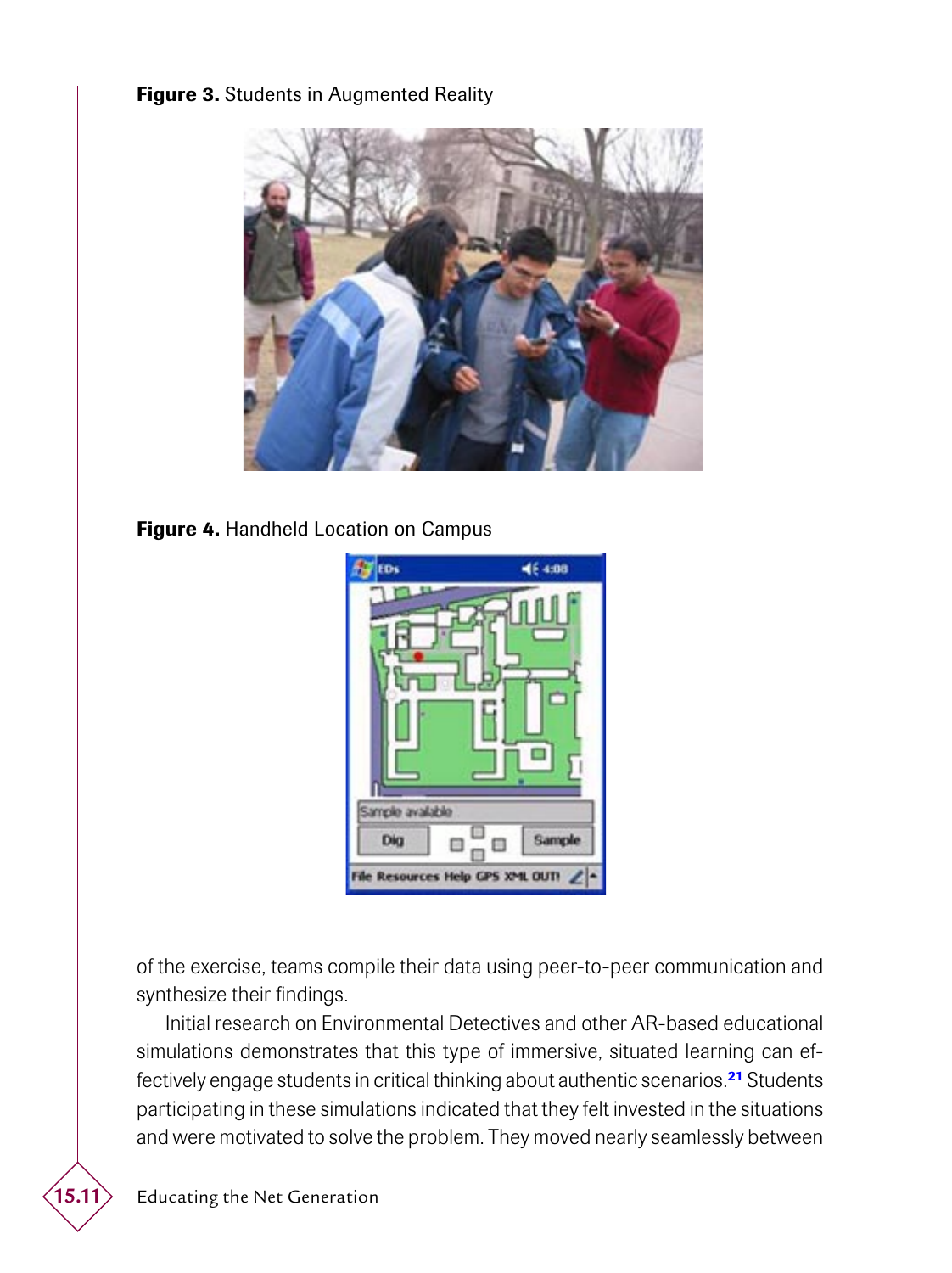#### <span id="page-13-0"></span>**Figure 3. Students in Augmented Reality**



Figure 4. Handheld Location on Campus



of the exercise, teams compile their data using peer-to-peer communication and synthesize their findings.

Initial research on Environmental Detectives and other AR-based educational simulations demonstrates that this type of immersive, situated learning can ef-fectively engage students in critical thinking about authentic scenarios.<sup>[21](#page-23-4)</sup> Students participating in these simulations indicated that they felt invested in the situations and were motivated to solve the problem. They moved nearly seamlessly between

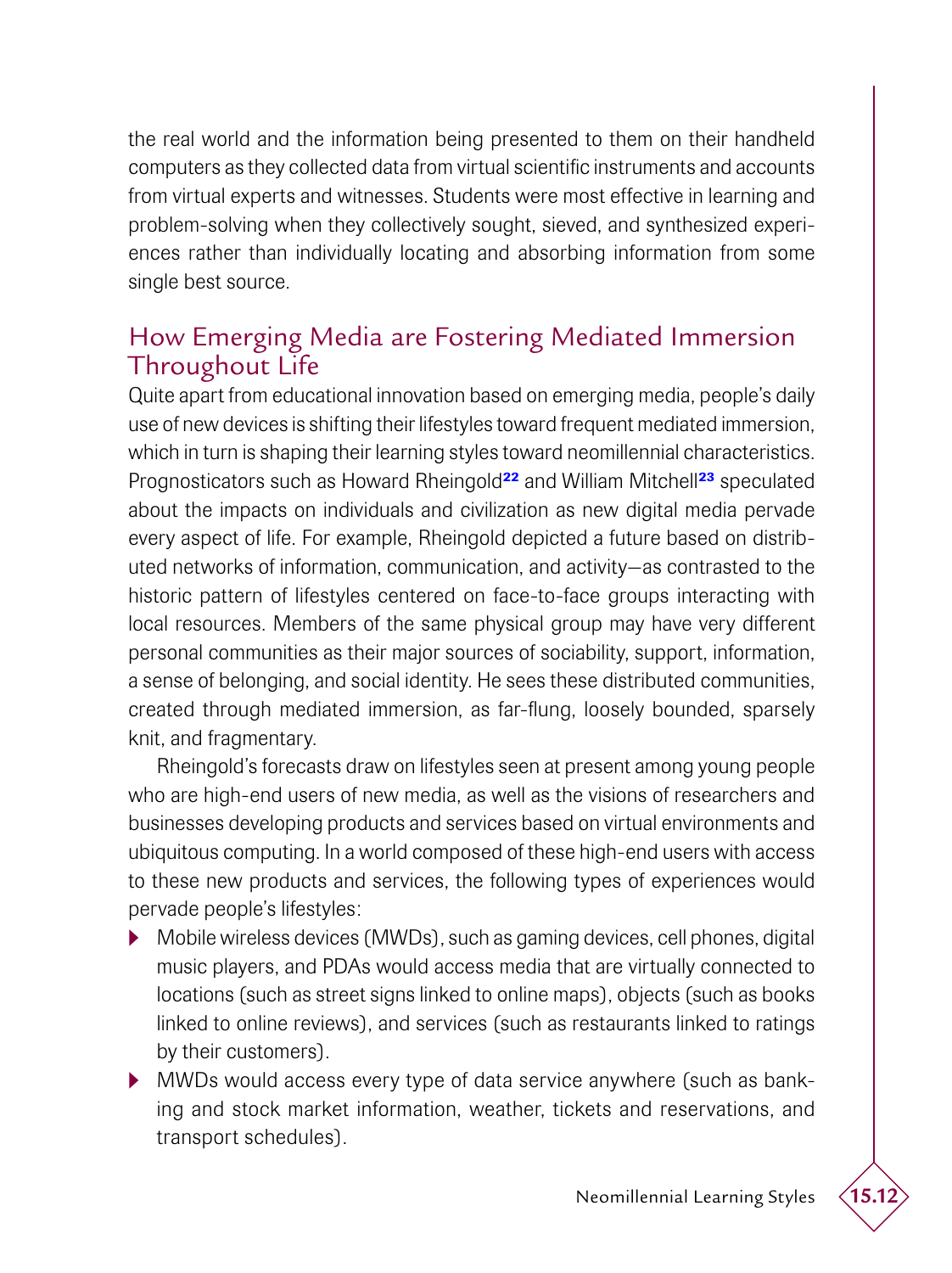<span id="page-14-0"></span>the real world and the information being presented to them on their handheld computers as they collected data from virtual scientific instruments and accounts from virtual experts and witnesses. Students were most effective in learning and problem-solving when they collectively sought, sieved, and synthesized experiences rather than individually locating and absorbing information from some single best source.

## How Emerging Media are Fostering Mediated Immersion Throughout Life

Quite apart from educational innovation based on emerging media, people's daily use of new devices is shifting their lifestyles toward frequent mediated immersion, which in turn is shaping their learning styles toward neomillennial characteristics. Prognosticators such as Howard Rheingold<sup>[22](#page-23-5)</sup> and William Mitchell<sup>[23](#page-23-6)</sup> speculated about the impacts on individuals and civilization as new digital media pervade every aspect of life. For example, Rheingold depicted a future based on distributed networks of information, communication, and activity—as contrasted to the historic pattern of lifestyles centered on face-to-face groups interacting with local resources. Members of the same physical group may have very different personal communities as their major sources of sociability, support, information, a sense of belonging, and social identity. He sees these distributed communities, created through mediated immersion, as far-flung, loosely bounded, sparsely knit, and fragmentary.

Rheingold's forecasts draw on lifestyles seen at present among young people who are high-end users of new media, as well as the visions of researchers and businesses developing products and services based on virtual environments and ubiquitous computing. In a world composed of these high-end users with access to these new products and services, the following types of experiences would pervade people's lifestyles:

- Mobile wireless devices (MWDs), such as gaming devices, cell phones, digital music players, and PDAs would access media that are virtually connected to locations (such as street signs linked to online maps), objects (such as books linked to online reviews), and services (such as restaurants linked to ratings by their customers).
- MWDs would access every type of data service anywhere (such as banking and stock market information, weather, tickets and reservations, and transport schedules).

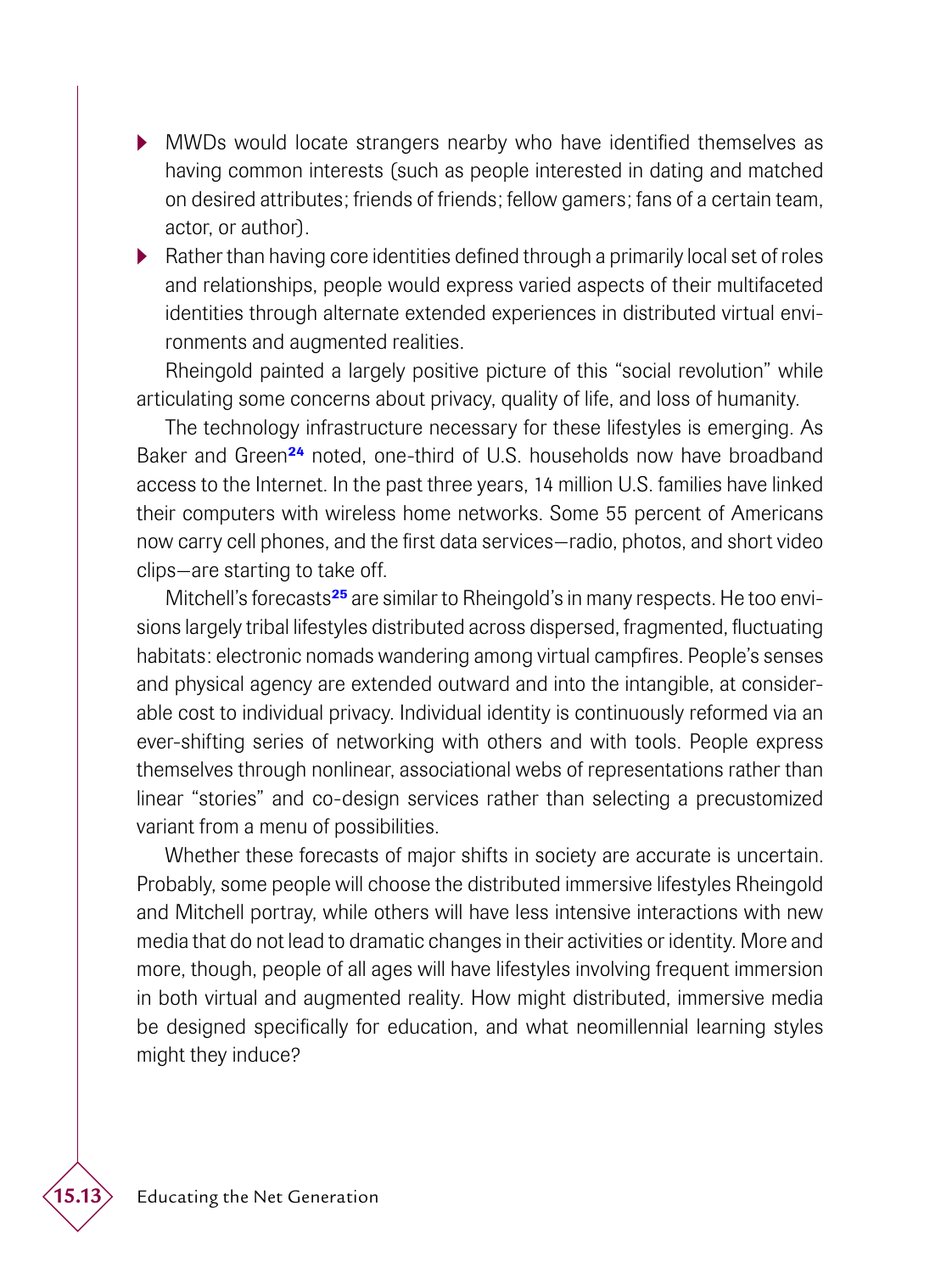- <span id="page-15-0"></span> MWDs would locate strangers nearby who have identified themselves as having common interests (such as people interested in dating and matched on desired attributes; friends of friends; fellow gamers; fans of a certain team, actor, or author).
- ▶ Rather than having core identities defined through a primarily local set of roles and relationships, people would express varied aspects of their multifaceted identities through alternate extended experiences in distributed virtual environments and augmented realities.

Rheingold painted a largely positive picture of this "social revolution" while articulating some concerns about privacy, quality of life, and loss of humanity.

The technology infrastructure necessary for these lifestyles is emerging. As Baker and Green<sup>[24](http://www.businessweek.com/magazine/content/04_25/b3888601.htm)</sup> noted, one-third of U.S. households now have broadband access to the Internet. In the past three years, 14 million U.S. families have linked their computers with wireless home networks. Some 55 percent of Americans now carry cell phones, and the first data services—radio, photos, and short video clips—are starting to take off.

Mitchell's forecasts<sup>[25](#page-23-7)</sup> are similar to Rheingold's in many respects. He too envisions largely tribal lifestyles distributed across dispersed, fragmented, fluctuating habitats: electronic nomads wandering among virtual campfires. People's senses and physical agency are extended outward and into the intangible, at considerable cost to individual privacy. Individual identity is continuously reformed via an ever-shifting series of networking with others and with tools. People express themselves through nonlinear, associational webs of representations rather than linear "stories" and co-design services rather than selecting a precustomized variant from a menu of possibilities.

Whether these forecasts of major shifts in society are accurate is uncertain. Probably, some people will choose the distributed immersive lifestyles Rheingold and Mitchell portray, while others will have less intensive interactions with new media that do not lead to dramatic changes in their activities or identity. More and more, though, people of all ages will have lifestyles involving frequent immersion in both virtual and augmented reality. How might distributed, immersive media be designed specifically for education, and what neomillennial learning styles might they induce?

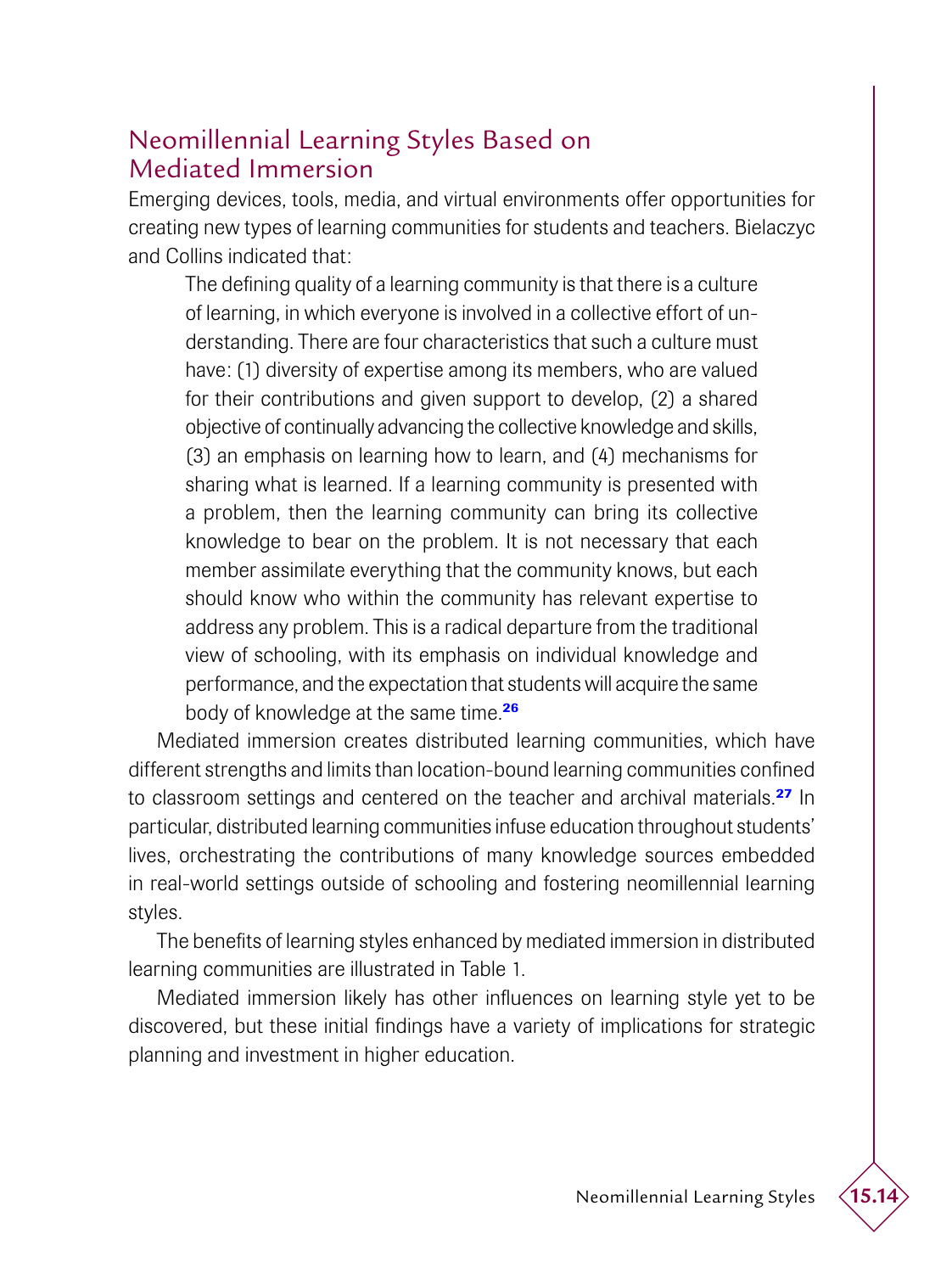## <span id="page-16-0"></span>Neomillennial Learning Styles Based on Mediated Immersion

Emerging devices, tools, media, and virtual environments offer opportunities for creating new types of learning communities for students and teachers. Bielaczyc and Collins indicated that:

The defining quality of a learning community is that there is a culture of learning, in which everyone is involved in a collective effort of understanding. There are four characteristics that such a culture must have: (1) diversity of expertise among its members, who are valued for their contributions and given support to develop, (2) a shared objective of continually advancing the collective knowledge and skills, (3) an emphasis on learning how to learn, and (4) mechanisms for sharing what is learned. If a learning community is presented with a problem, then the learning community can bring its collective knowledge to bear on the problem. It is not necessary that each member assimilate everything that the community knows, but each should know who within the community has relevant expertise to address any problem. This is a radical departure from the traditional view of schooling, with its emphasis on individual knowledge and performance, and the expectation that students will acquire the same body of knowledge at the same time [26](#page-23-8)

Mediated immersion creates distributed learning communities, which have different strengths and limits than location-bound learning communities confined to classroom settings and centered on the teacher and archival materials.<sup>[27](#page-23-9)</sup> In particular, distributed learning communities infuse education throughout students' lives, orchestrating the contributions of many knowledge sources embedded in real-world settings outside of schooling and fostering neomillennial learning styles.

The benefits of learning styles enhanced by mediated immersion in distributed learning communities are illustrated in Table 1.

Mediated immersion likely has other influences on learning style yet to be discovered, but these initial findings have a variety of implications for strategic planning and investment in higher education.

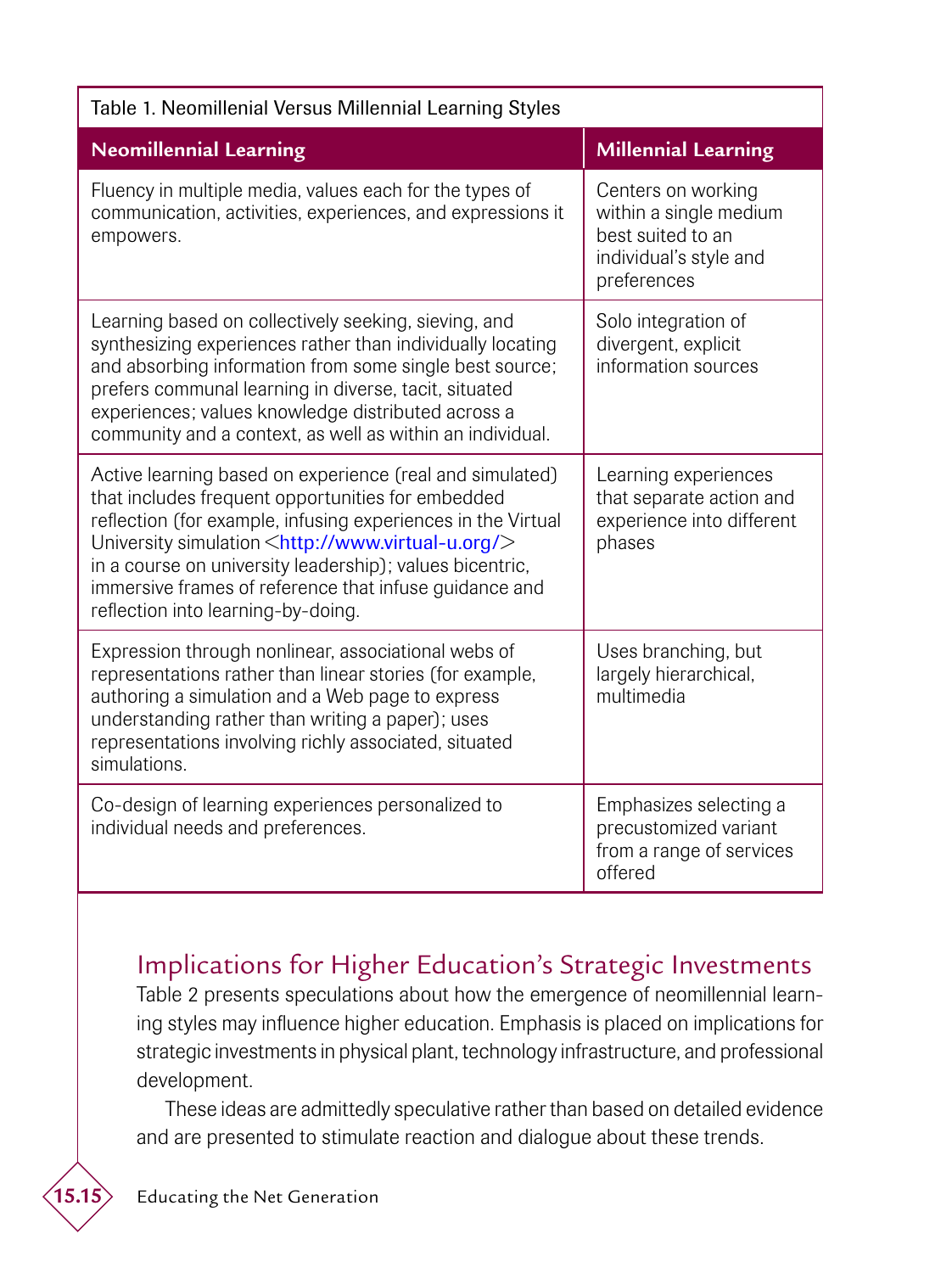| Table 1. Neomillenial Versus Millennial Learning Styles                                                                                                                                                                                                                                                                                                                                                 |                                                                                                            |  |  |
|---------------------------------------------------------------------------------------------------------------------------------------------------------------------------------------------------------------------------------------------------------------------------------------------------------------------------------------------------------------------------------------------------------|------------------------------------------------------------------------------------------------------------|--|--|
| <b>Neomillennial Learning</b>                                                                                                                                                                                                                                                                                                                                                                           | <b>Millennial Learning</b>                                                                                 |  |  |
| Fluency in multiple media, values each for the types of<br>communication, activities, experiences, and expressions it<br>empowers.                                                                                                                                                                                                                                                                      | Centers on working<br>within a single medium<br>best suited to an<br>individual's style and<br>preferences |  |  |
| Learning based on collectively seeking, sieving, and<br>synthesizing experiences rather than individually locating<br>and absorbing information from some single best source;<br>prefers communal learning in diverse, tacit, situated<br>experiences; values knowledge distributed across a<br>community and a context, as well as within an individual.                                               | Solo integration of<br>divergent, explicit<br>information sources                                          |  |  |
| Active learning based on experience (real and simulated)<br>that includes frequent opportunities for embedded<br>reflection (for example, infusing experiences in the Virtual<br>University simulation <http: www.virtual-u.org=""></http:><br>in a course on university leadership); values bicentric,<br>immersive frames of reference that infuse guidance and<br>reflection into learning-by-doing. | Learning experiences<br>that separate action and<br>experience into different<br>phases                    |  |  |
| Expression through nonlinear, associational webs of<br>representations rather than linear stories (for example,<br>authoring a simulation and a Web page to express<br>understanding rather than writing a paper); uses<br>representations involving richly associated, situated<br>simulations.                                                                                                        | Uses branching, but<br>largely hierarchical,<br>multimedia                                                 |  |  |
| Co-design of learning experiences personalized to<br>individual needs and preferences.                                                                                                                                                                                                                                                                                                                  | Emphasizes selecting a<br>precustomized variant<br>from a range of services<br>offered                     |  |  |

## Implications for Higher Education's Strategic Investments

Table 2 presents speculations about how the emergence of neomillennial learning styles may influence higher education. Emphasis is placed on implications for strategic investments in physical plant, technology infrastructure, and professional development.

These ideas are admittedly speculative rather than based on detailed evidence and are presented to stimulate reaction and dialogue about these trends.

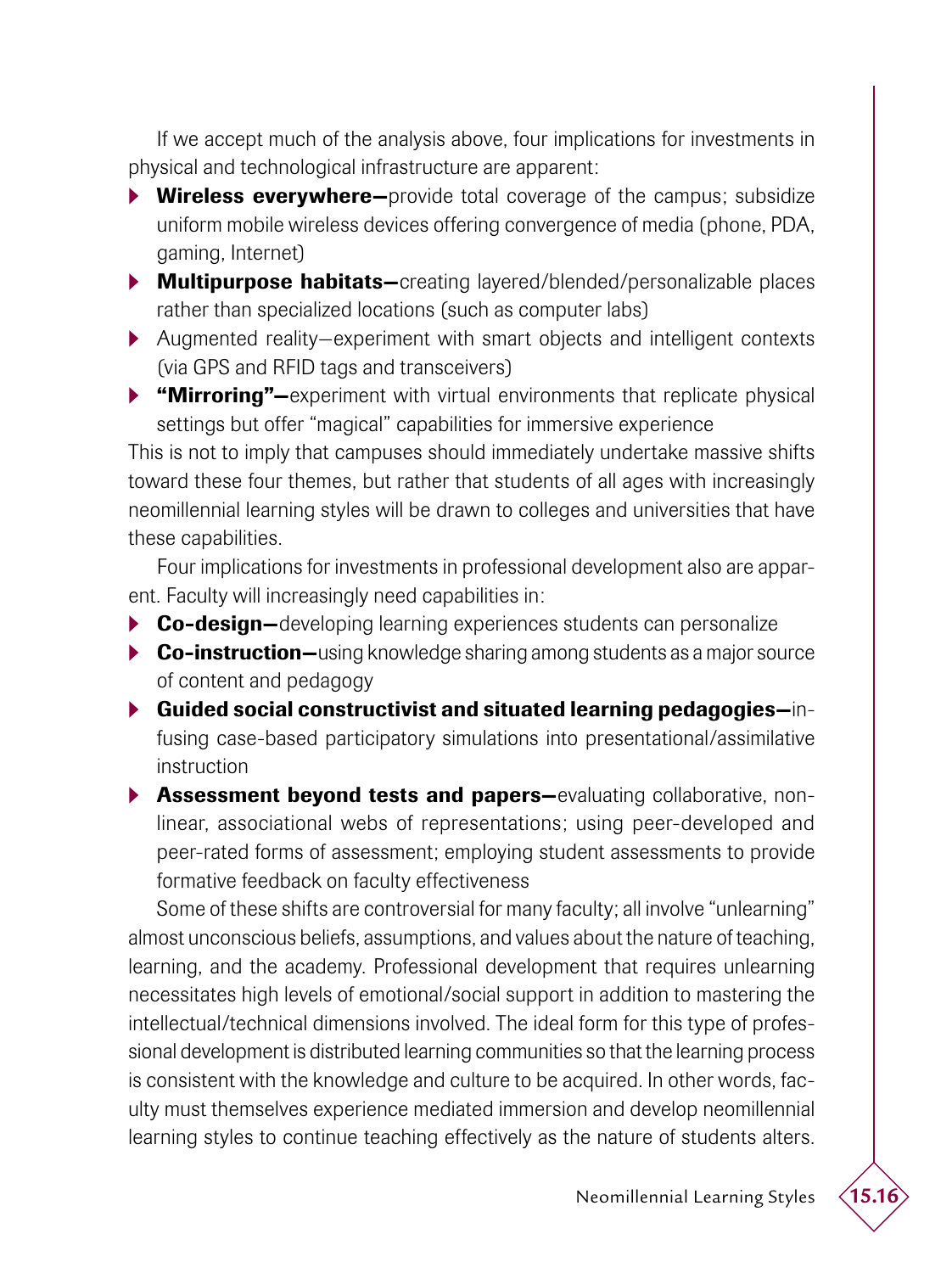If we accept much of the analysis above, four implications for investments in physical and technological infrastructure are apparent:

- **Wireless everywhere**—provide total coverage of the campus; subsidize uniform mobile wireless devices offering convergence of media (phone, PDA, gaming, Internet)
- **Multipurpose habitats**—creating layered/blended/personalizable places rather than specialized locations (such as computer labs)
- Augmented reality—experiment with smart objects and intelligent contexts (via GPS and RFID tags and transceivers)
- **Mirroring"**—experiment with virtual environments that replicate physical settings but offer "magical" capabilities for immersive experience

This is not to imply that campuses should immediately undertake massive shifts toward these four themes, but rather that students of all ages with increasingly neomillennial learning styles will be drawn to colleges and universities that have these capabilities.

Four implications for investments in professional development also are apparent. Faculty will increasingly need capabilities in:

- ▶ Co-design-developing learning experiences students can personalize
- ▶ Co-instruction—using knowledge sharing among students as a major source of content and pedagogy
- Guided social constructivist and situated learning pedagogies—infusing case-based participatory simulations into presentational/assimilative instruction
- Assessment beyond tests and papers—evaluating collaborative, nonlinear, associational webs of representations; using peer-developed and peer-rated forms of assessment; employing student assessments to provide formative feedback on faculty effectiveness

Some of these shifts are controversial for many faculty; all involve "unlearning" almost unconscious beliefs, assumptions, and values about the nature of teaching, learning, and the academy. Professional development that requires unlearning necessitates high levels of emotional/social support in addition to mastering the intellectual/technical dimensions involved. The ideal form for this type of professional development is distributed learning communities so that the learning process is consistent with the knowledge and culture to be acquired. In other words, faculty must themselves experience mediated immersion and develop neomillennial learning styles to continue teaching effectively as the nature of students alters.

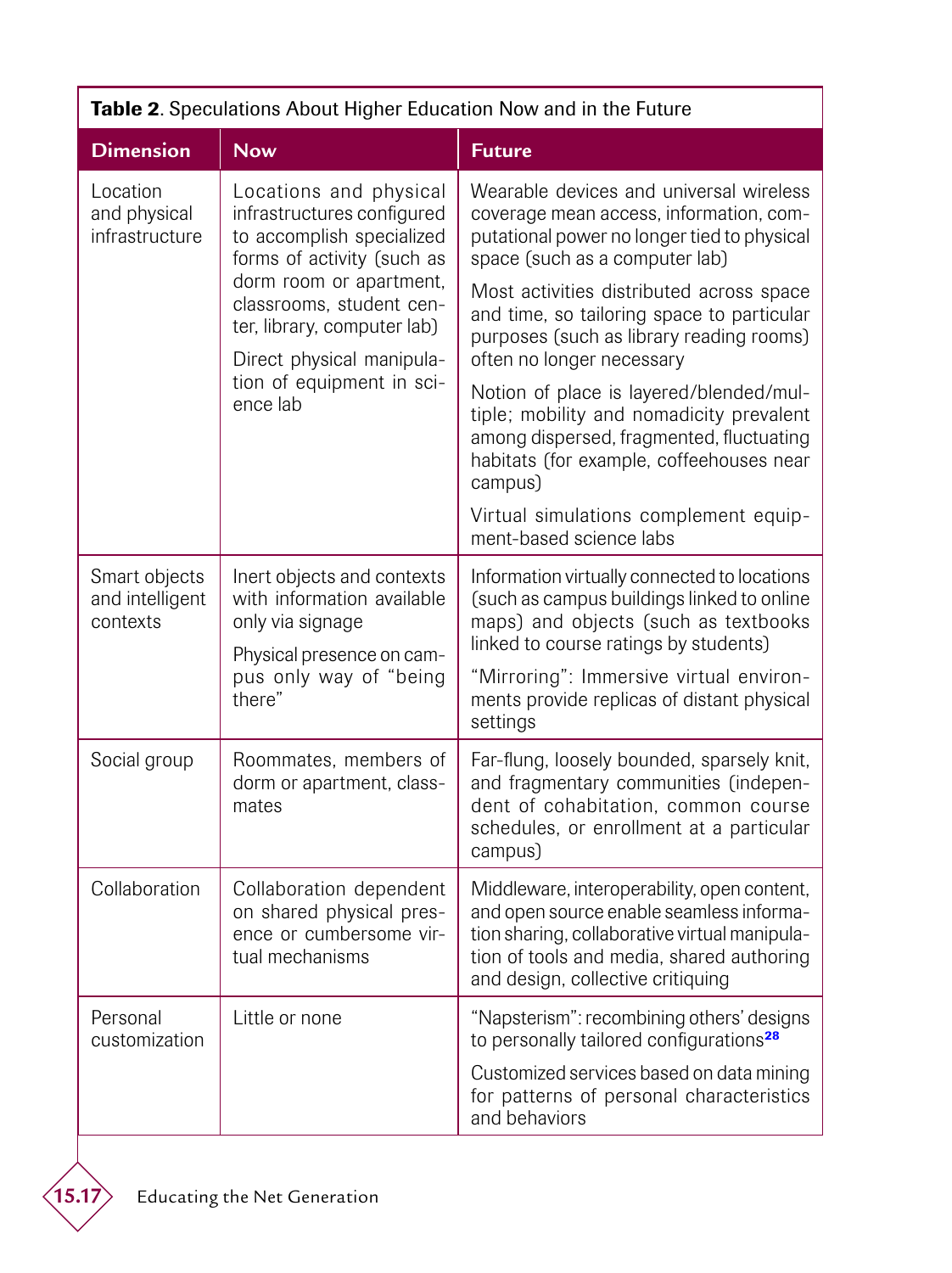<span id="page-19-0"></span>

| Table 2. Speculations About Higher Education Now and in the Future |                                                                                                                                                                                                                                                                             |                                                                                                                                                                                                                                                                                                                                                                                                                                                                                                                                                                                                      |  |
|--------------------------------------------------------------------|-----------------------------------------------------------------------------------------------------------------------------------------------------------------------------------------------------------------------------------------------------------------------------|------------------------------------------------------------------------------------------------------------------------------------------------------------------------------------------------------------------------------------------------------------------------------------------------------------------------------------------------------------------------------------------------------------------------------------------------------------------------------------------------------------------------------------------------------------------------------------------------------|--|
| <b>Dimension</b>                                                   | <b>Now</b>                                                                                                                                                                                                                                                                  | <b>Future</b>                                                                                                                                                                                                                                                                                                                                                                                                                                                                                                                                                                                        |  |
| Location<br>and physical<br>infrastructure                         | Locations and physical<br>infrastructures configured<br>to accomplish specialized<br>forms of activity (such as<br>dorm room or apartment,<br>classrooms, student cen-<br>ter, library, computer lab)<br>Direct physical manipula-<br>tion of equipment in sci-<br>ence lab | Wearable devices and universal wireless<br>coverage mean access, information, com-<br>putational power no longer tied to physical<br>space (such as a computer lab)<br>Most activities distributed across space<br>and time, so tailoring space to particular<br>purposes (such as library reading rooms)<br>often no longer necessary<br>Notion of place is layered/blended/mul-<br>tiple; mobility and nomadicity prevalent<br>among dispersed, fragmented, fluctuating<br>habitats (for example, coffeehouses near<br>campus)<br>Virtual simulations complement equip-<br>ment-based science labs |  |
| Smart objects<br>and intelligent<br>contexts                       | Inert objects and contexts<br>with information available<br>only via signage<br>Physical presence on cam-<br>pus only way of "being<br>there"                                                                                                                               | Information virtually connected to locations<br>(such as campus buildings linked to online<br>maps) and objects (such as textbooks<br>linked to course ratings by students)<br>"Mirroring": Immersive virtual environ-<br>ments provide replicas of distant physical<br>settings                                                                                                                                                                                                                                                                                                                     |  |
| Social group                                                       | Roommates, members of<br>dorm or apartment, class-<br>mates                                                                                                                                                                                                                 | Far-flung, loosely bounded, sparsely knit,<br>and fragmentary communities (indepen-<br>dent of cohabitation, common course<br>schedules, or enrollment at a particular<br>campus)                                                                                                                                                                                                                                                                                                                                                                                                                    |  |
| Collaboration                                                      | Collaboration dependent<br>on shared physical pres-<br>ence or cumbersome vir-<br>tual mechanisms                                                                                                                                                                           | Middleware, interoperability, open content,<br>and open source enable seamless informa-<br>tion sharing, collaborative virtual manipula-<br>tion of tools and media, shared authoring<br>and design, collective critiquing                                                                                                                                                                                                                                                                                                                                                                           |  |
| Personal<br>customization                                          | Little or none                                                                                                                                                                                                                                                              | "Napsterism": recombining others' designs<br>to personally tailored configurations <sup>28</sup>                                                                                                                                                                                                                                                                                                                                                                                                                                                                                                     |  |
|                                                                    |                                                                                                                                                                                                                                                                             | Customized services based on data mining<br>for patterns of personal characteristics<br>and behaviors                                                                                                                                                                                                                                                                                                                                                                                                                                                                                                |  |

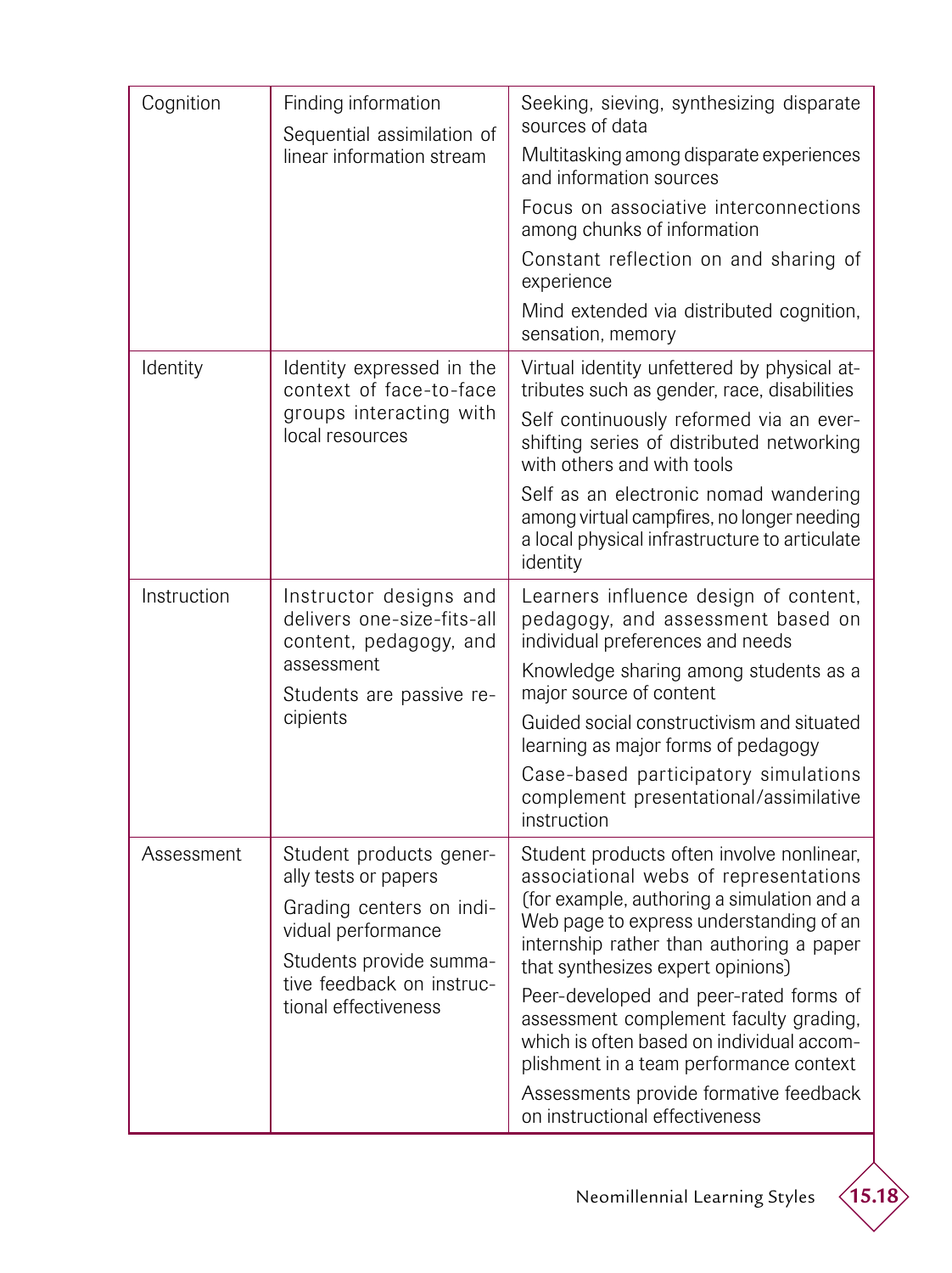| Cognition   | Finding information<br>Sequential assimilation of<br>linear information stream                                                                                                    | Seeking, sieving, synthesizing disparate<br>sources of data<br>Multitasking among disparate experiences<br>and information sources<br>Focus on associative interconnections<br>among chunks of information<br>Constant reflection on and sharing of<br>experience<br>Mind extended via distributed cognition,<br>sensation, memory                                                                                                                                                                                   |
|-------------|-----------------------------------------------------------------------------------------------------------------------------------------------------------------------------------|----------------------------------------------------------------------------------------------------------------------------------------------------------------------------------------------------------------------------------------------------------------------------------------------------------------------------------------------------------------------------------------------------------------------------------------------------------------------------------------------------------------------|
| Identity    | Identity expressed in the<br>context of face-to-face<br>groups interacting with<br>local resources                                                                                | Virtual identity unfettered by physical at-<br>tributes such as gender, race, disabilities<br>Self continuously reformed via an ever-<br>shifting series of distributed networking<br>with others and with tools<br>Self as an electronic nomad wandering<br>among virtual campfires, no longer needing<br>a local physical infrastructure to articulate<br>identity                                                                                                                                                 |
| Instruction | Instructor designs and<br>delivers one-size-fits-all<br>content, pedagogy, and<br>assessment<br>Students are passive re-<br>cipients                                              | Learners influence design of content,<br>pedagogy, and assessment based on<br>individual preferences and needs<br>Knowledge sharing among students as a<br>major source of content<br>Guided social constructivism and situated<br>learning as major forms of pedagogy<br>Case-based participatory simulations<br>complement presentational/assimilative<br>instruction                                                                                                                                              |
| Assessment  | Student products gener-<br>ally tests or papers<br>Grading centers on indi-<br>vidual performance<br>Students provide summa-<br>tive feedback on instruc-<br>tional effectiveness | Student products often involve nonlinear,<br>associational webs of representations<br>(for example, authoring a simulation and a<br>Web page to express understanding of an<br>internship rather than authoring a paper<br>that synthesizes expert opinions)<br>Peer-developed and peer-rated forms of<br>assessment complement faculty grading,<br>which is often based on individual accom-<br>plishment in a team performance context<br>Assessments provide formative feedback<br>on instructional effectiveness |

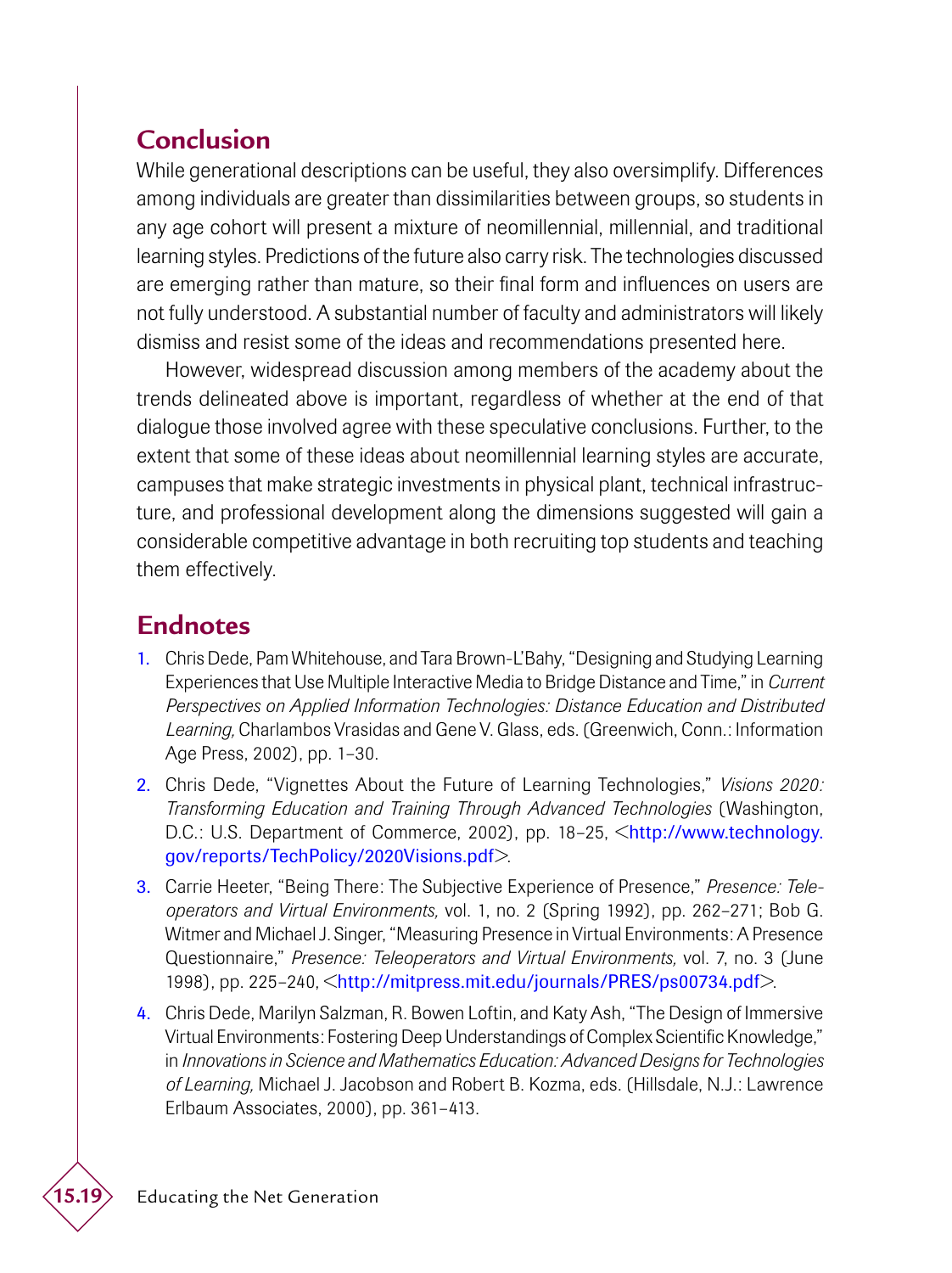## <span id="page-21-0"></span>**Conclusion**

While generational descriptions can be useful, they also oversimplify. Differences among individuals are greater than dissimilarities between groups, so students in any age cohort will present a mixture of neomillennial, millennial, and traditional learning styles. Predictions of the future also carry risk. The technologies discussed are emerging rather than mature, so their final form and influences on users are not fully understood. A substantial number of faculty and administrators will likely dismiss and resist some of the ideas and recommendations presented here.

However, widespread discussion among members of the academy about the trends delineated above is important, regardless of whether at the end of that dialogue those involved agree with these speculative conclusions. Further, to the extent that some of these ideas about neomillennial learning styles are accurate, campuses that make strategic investments in physical plant, technical infrastructure, and professional development along the dimensions suggested will gain a considerable competitive advantage in both recruiting top students and teaching them effectively.

## **Endnotes**

- <span id="page-21-1"></span>[1.](#page-3-0) Chris Dede, Pam Whitehouse, and Tara Brown-L'Bahy, "Designing and Studying Learning Experiences that Use Multiple Interactive Media to Bridge Distance and Time," in *Current Perspectives on Applied Information Technologies: Distance Education and Distributed Learning,* Charlambos Vrasidas and Gene V. Glass, eds. (Greenwich, Conn.: Information Age Press, 2002), pp. 1–30.
- [2.](#page-3-0) Chris Dede, "Vignettes About the Future of Learning Technologies," *Visions 2020: Transforming Education and Training Through Advanced Technologies* (Washington, D.C.: U.S. Department of Commerce, 2002), pp. 18–25, <[http://www.technology.](http://www.technology.gov/reports/TechPolicy/2020Visions.pdf) [gov/reports/TechPolicy/2020Visions.pdf](http://www.technology.gov/reports/TechPolicy/2020Visions.pdf)>.
- [3.](#page-4-0) Carrie Heeter, "Being There: The Subjective Experience of Presence," *Presence: Teleoperators and Virtual Environments,* vol. 1, no. 2 (Spring 1992), pp. 262–271; Bob G. Witmer and Michael J. Singer, "Measuring Presence in Virtual Environments: A Presence Questionnaire," *Presence: Teleoperators and Virtual Environments,* vol. 7, no. 3 (June 1998), pp. 225–240, <[http://mitpress.mit.edu/journals/PRES/ps00734.pdf](http://mitpress.mit.edu/journals/PRES/ps00734.pd)>.
- <span id="page-21-2"></span>[4.](#page-4-0) Chris Dede, Marilyn Salzman, R. Bowen Loftin, and Katy Ash, "The Design of Immersive Virtual Environments: Fostering Deep Understandings of Complex Scientific Knowledge," in *Innovations in Science and Mathematics Education: Advanced Designs for Technologies of Learning,* Michael J. Jacobson and Robert B. Kozma, eds. (Hillsdale, N.J.: Lawrence Erlbaum Associates, 2000), pp. 361–413.

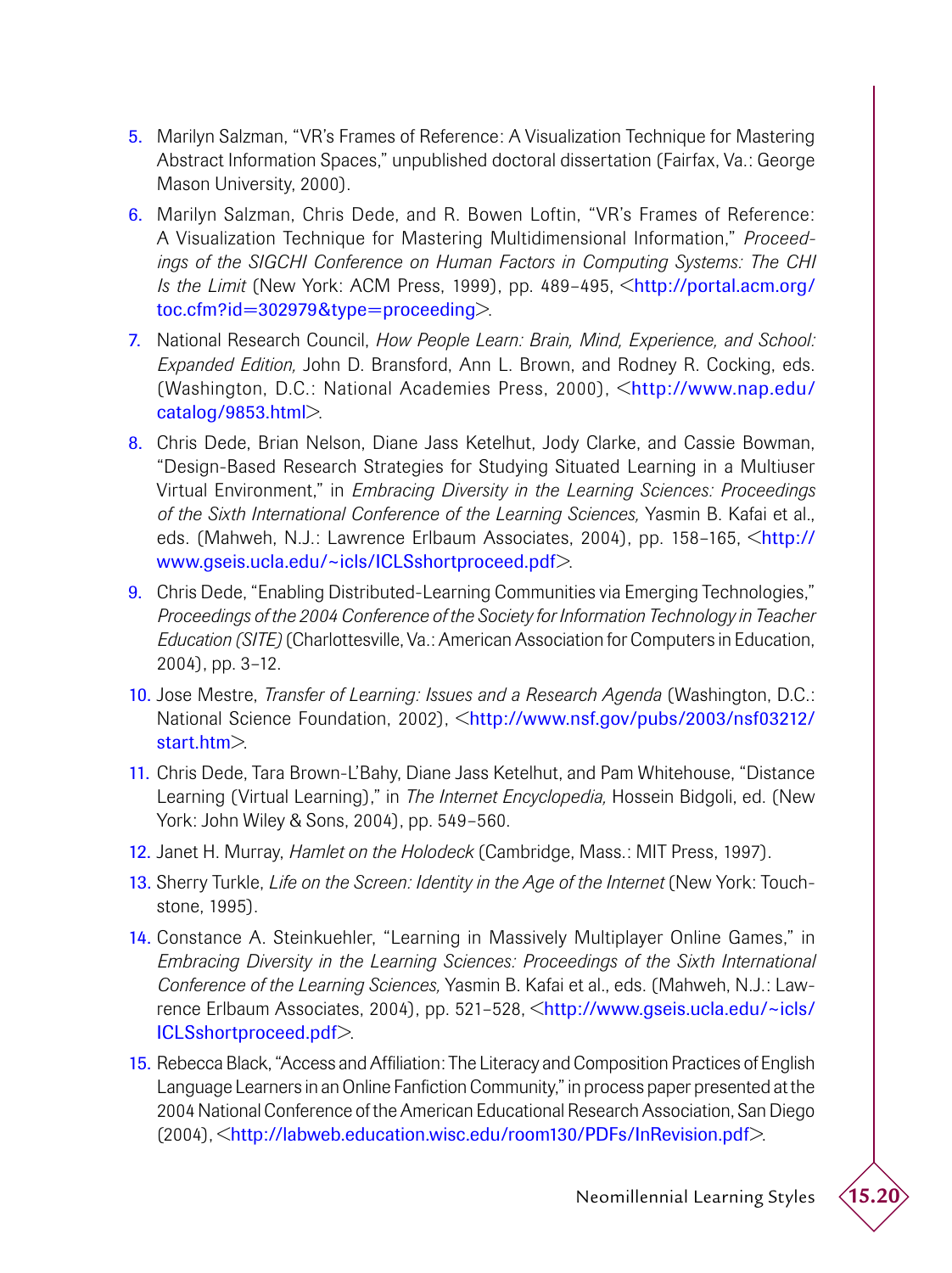- <span id="page-22-0"></span>[5.](#page-6-0) Marilyn Salzman, "VR's Frames of Reference: A Visualization Technique for Mastering Abstract Information Spaces," unpublished doctoral dissertation (Fairfax, Va.: George Mason University, 2000).
- [6.](#page-6-0) Marilyn Salzman, Chris Dede, and R. Bowen Loftin, "VR's Frames of Reference: A Visualization Technique for Mastering Multidimensional Information," *Proceedings of the SIGCHI Conference on Human Factors in Computing Systems: The CHI Is the Limit* (New York: ACM Press, 1999), pp. 489–495, <[http://portal.acm.org/](http://portal.acm.org/toc.cfm?id=302979&type=proceeding) [toc.cfm?id=302979&type=proceeding](http://portal.acm.org/toc.cfm?id=302979&type=proceeding)>.
- [7.](#page-6-0) National Research Council, *How People Learn: Brain, Mind, Experience, and School: Expanded Edition,* John D. Bransford, Ann L. Brown, and Rodney R. Cocking, eds. (Washington, D.C.: National Academies Press, 2000), <[http://www.nap.edu/](http://www.nap.edu/catalog/9853.html) [catalog/9853.html](http://www.nap.edu/catalog/9853.html)>.
- [8.](#page-6-0) Chris Dede, Brian Nelson, Diane Jass Ketelhut, Jody Clarke, and Cassie Bowman, "Design-Based Research Strategies for Studying Situated Learning in a Multiuser Virtual Environment," in *Embracing Diversity in the Learning Sciences: Proceedings of the Sixth International Conference of the Learning Sciences,* Yasmin B. Kafai et al., eds. (Mahweh, N.J.: Lawrence Erlbaum Associates, 2004), pp. 158-165, <[http://](http://www.gseis.ucla.edu/~icls/ICLSshortproceed.pdf) [www.gseis.ucla.edu/~icls/ICLSshortproceed.pdf](http://www.gseis.ucla.edu/~icls/ICLSshortproceed.pdf)>.
- <span id="page-22-1"></span>[9.](#page-7-0) Chris Dede, "Enabling Distributed-Learning Communities via Emerging Technologies," *Proceedings of the 2004 Conference of the Society for Information Technology in Teacher Education (SITE)* (Charlottesville, Va.: American Association for Computers in Education, 2004), pp. 3–12.
- [10.](#page-7-0) Jose Mestre, *Transfer of Learning: Issues and a Research Agenda* (Washington, D.C.: National Science Foundation, 2002), <[http://www.nsf.gov/pubs/2003/nsf03212/](ttp://www.nsf.gov/pubs/2003/nsf03212/start.htm) [start.htm](ttp://www.nsf.gov/pubs/2003/nsf03212/start.htm)>.
- <span id="page-22-2"></span>[11.](#page-7-0) Chris Dede, Tara Brown-L'Bahy, Diane Jass Ketelhut, and Pam Whitehouse, "Distance Learning (Virtual Learning)," in *The Internet Encyclopedia,* Hossein Bidgoli, ed. (New York: John Wiley & Sons, 2004), pp. 549–560.
- <span id="page-22-3"></span>[12.](#page-7-0) Janet H. Murray, *Hamlet on the Holodeck* (Cambridge, Mass.: MIT Press, 1997).
- <span id="page-22-4"></span>[13.](#page-8-0) Sherry Turkle, *Life on the Screen: Identity in the Age of the Internet* (New York: Touchstone, 1995).
- [14.](#page-8-0) Constance A. Steinkuehler, "Learning in Massively Multiplayer Online Games," in *Embracing Diversity in the Learning Sciences: Proceedings of the Sixth International Conference of the Learning Sciences,* Yasmin B. Kafai et al., eds. (Mahweh, N.J.: Lawrence Erlbaum Associates, 2004), pp. 521–528, <[http://www.gseis.ucla.edu/~icls/](http://www.gseis.ucla.edu/~icls/ICLSshortproceed.pdf) [ICLSshortproceed.pdf](http://www.gseis.ucla.edu/~icls/ICLSshortproceed.pdf)>.
- [15.](#page-9-0) Rebecca Black, "Access and Affiliation: The Literacy and Composition Practices of English Language Learners in an Online Fanfiction Community," in process paper presented at the 2004 National Conference of the American Educational Research Association, San Diego (2004), <<http://labweb.education.wisc.edu/room130/PDFs/InRevision.pdf>>.

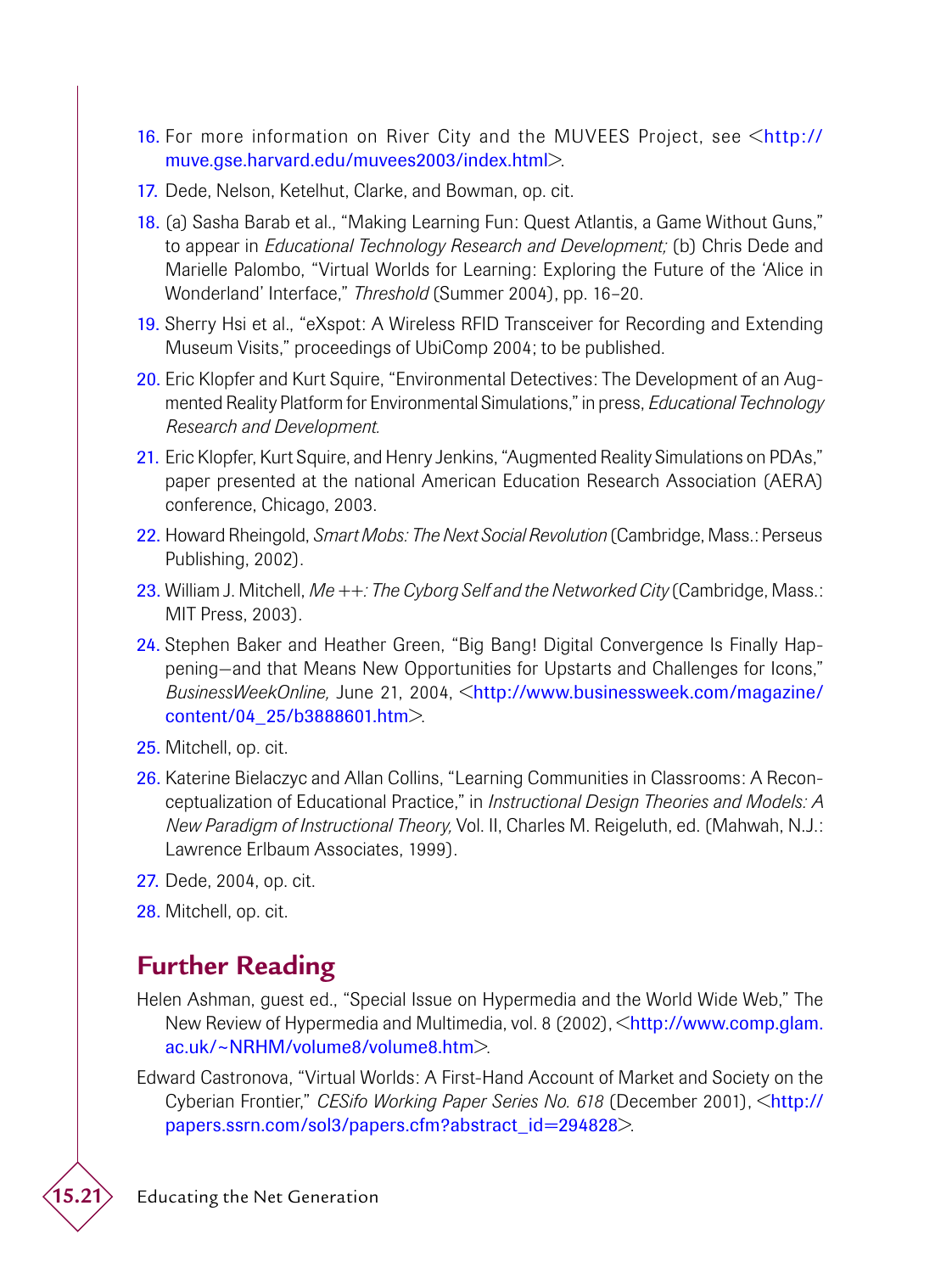- <span id="page-23-0"></span>[16.](#page-9-0) For more information on River City and the MUVEES Project, see <[http://](http://muve.gse.harvard.edu/muvees2003/index.html) [muve.gse.harvard.edu/muvees2003/index.html](http://muve.gse.harvard.edu/muvees2003/index.html)>.
- [17.](#page-11-0) Dede, Nelson, Ketelhut, Clarke, and Bowman, op. cit.
- <span id="page-23-1"></span>[18.](#page-11-0) (a) Sasha Barab et al., "Making Learning Fun: Quest Atlantis, a Game Without Guns," to appear in *Educational Technology Research and Development;* (b) Chris Dede and Marielle Palombo, "Virtual Worlds for Learning: Exploring the Future of the 'Alice in Wonderland' Interface," *Threshold* (Summer 2004), pp. 16–20.
- <span id="page-23-2"></span>[19.](#page-12-0) Sherry Hsi et al., "eXspot: A Wireless RFID Transceiver for Recording and Extending Museum Visits," proceedings of UbiComp 2004; to be published.
- <span id="page-23-3"></span>[20.](#page-12-0) Eric Klopfer and Kurt Squire, "Environmental Detectives: The Development of an Augmented Reality Platform for Environmental Simulations," in press, *Educational Technology Research and Development.*
- <span id="page-23-4"></span>[21.](#page-13-0) Eric Klopfer, Kurt Squire, and Henry Jenkins, "Augmented Reality Simulations on PDAs," paper presented at the national American Education Research Association (AERA) conference, Chicago, 2003.
- <span id="page-23-5"></span>[22.](#page-14-0) Howard Rheingold, *Smart Mobs: The Next Social Revolution* (Cambridge, Mass.: Perseus Publishing, 2002).
- <span id="page-23-6"></span>[23.](#page-14-0) William J. Mitchell, *Me ++: The Cyborg Self and the Networked City* (Cambridge, Mass.: MIT Press, 2003).
- [24.](#page-15-0) Stephen Baker and Heather Green, "Big Bang! Digital Convergence Is Finally Happening—and that Means New Opportunities for Upstarts and Challenges for Icons," *BusinessWeekOnline,* June 21, 2004, <[http://www.businessweek.com/magazine/](http://www.businessweek.com/magazine/content/04_25/b3888601.htm) [content/04\\_25/b3888601.htm](http://www.businessweek.com/magazine/content/04_25/b3888601.htm)>.
- <span id="page-23-7"></span>[25.](#page-15-0) Mitchell, op. cit.
- <span id="page-23-8"></span>[26.](#page-16-0) Katerine Bielaczyc and Allan Collins, "Learning Communities in Classrooms: A Reconceptualization of Educational Practice," in *Instructional Design Theories and Models: A New Paradigm of Instructional Theory,* Vol. II, Charles M. Reigeluth, ed. (Mahwah, N.J.: Lawrence Erlbaum Associates, 1999).
- <span id="page-23-9"></span>[27.](#page-16-0) Dede, 2004, op. cit.
- <span id="page-23-10"></span>[28.](#page-19-0) Mitchell, op. cit.

## **Further Reading**

- Helen Ashman, guest ed., "Special Issue on Hypermedia and the World Wide Web," The New Review of Hypermedia and Multimedia, vol. 8 (2002), <[http://www.comp.glam.](http://www.comp.glam.ac.uk/~NRHM/volume8/volume8.htm) [ac.uk/~NRHM/volume8/volume8.htm](http://www.comp.glam.ac.uk/~NRHM/volume8/volume8.htm)>.
- Edward Castronova, "Virtual Worlds: A First-Hand Account of Market and Society on the Cyberian Frontier," *CESifo Working Paper Series No. 618* (December 2001), <[http://](http://papers.ssrn.com/sol3/papers.cfm?abstract_id=294828) [papers.ssrn.com/sol3/papers.cfm?abstract\\_id=294828](http://papers.ssrn.com/sol3/papers.cfm?abstract_id=294828)>.